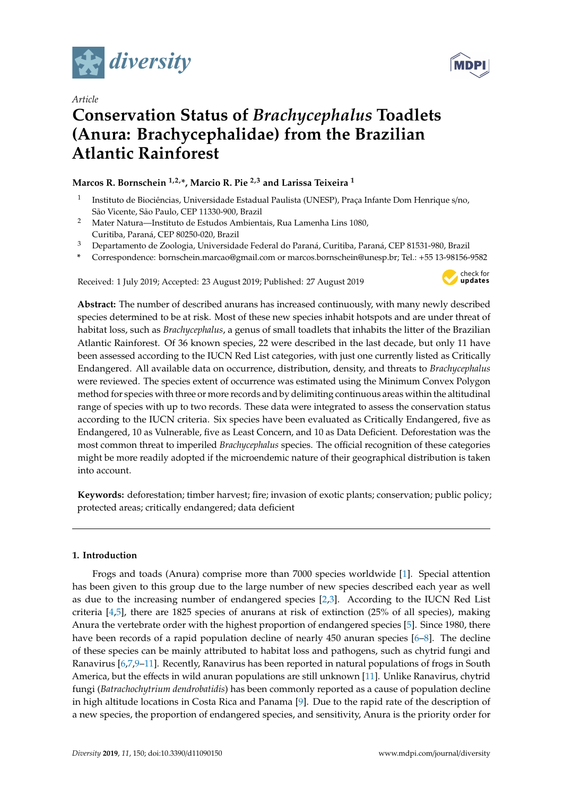



# *Article* **Conservation Status of** *Brachycephalus* **Toadlets (Anura: Brachycephalidae) from the Brazilian Atlantic Rainforest**

## **Marcos R. Bornschein 1,2,\*, Marcio R. Pie 2,3 and Larissa Teixeira <sup>1</sup>**

- 1 Instituto de Biociências, Universidade Estadual Paulista (UNESP), Praça Infante Dom Henrique s/no, São Vicente, São Paulo, CEP 11330-900, Brazil
- <sup>2</sup> Mater Natura—Instituto de Estudos Ambientais, Rua Lamenha Lins 1080, Curitiba, Paraná, CEP 80250-020, Brazil
- <sup>3</sup> Departamento de Zoologia, Universidade Federal do Paraná, Curitiba, Paraná, CEP 81531-980, Brazil
- **\*** Correspondence: bornschein.marcao@gmail.com or marcos.bornschein@unesp.br; Tel.: +55 13-98156-9582

Received: 1 July 2019; Accepted: 23 August 2019; Published: 27 August 2019



**Abstract:** The number of described anurans has increased continuously, with many newly described species determined to be at risk. Most of these new species inhabit hotspots and are under threat of habitat loss, such as *Brachycephalus*, a genus of small toadlets that inhabits the litter of the Brazilian Atlantic Rainforest. Of 36 known species, 22 were described in the last decade, but only 11 have been assessed according to the IUCN Red List categories, with just one currently listed as Critically Endangered. All available data on occurrence, distribution, density, and threats to *Brachycephalus* were reviewed. The species extent of occurrence was estimated using the Minimum Convex Polygon method for species with three or more records and by delimiting continuous areas within the altitudinal range of species with up to two records. These data were integrated to assess the conservation status according to the IUCN criteria. Six species have been evaluated as Critically Endangered, five as Endangered, 10 as Vulnerable, five as Least Concern, and 10 as Data Deficient. Deforestation was the most common threat to imperiled *Brachycephalus* species. The official recognition of these categories might be more readily adopted if the microendemic nature of their geographical distribution is taken into account.

**Keywords:** deforestation; timber harvest; fire; invasion of exotic plants; conservation; public policy; protected areas; critically endangered; data deficient

## **1. Introduction**

Frogs and toads (Anura) comprise more than 7000 species worldwide [\[1\]](#page-22-0). Special attention has been given to this group due to the large number of new species described each year as well as due to the increasing number of endangered species [\[2](#page-22-1)[,3\]](#page-22-2). According to the IUCN Red List criteria  $[4,5]$  $[4,5]$ , there are 1825 species of anurans at risk of extinction (25% of all species), making Anura the vertebrate order with the highest proportion of endangered species [\[5\]](#page-22-4). Since 1980, there have been records of a rapid population decline of nearly 450 anuran species [\[6–](#page-22-5)[8\]](#page-22-6). The decline of these species can be mainly attributed to habitat loss and pathogens, such as chytrid fungi and Ranavirus [\[6,](#page-22-5)[7,](#page-22-7)[9–](#page-22-8)[11\]](#page-22-9). Recently, Ranavirus has been reported in natural populations of frogs in South America, but the effects in wild anuran populations are still unknown [\[11\]](#page-22-9). Unlike Ranavirus, chytrid fungi (*Batrachochytrium dendrobatidis*) has been commonly reported as a cause of population decline in high altitude locations in Costa Rica and Panama [\[9\]](#page-22-8). Due to the rapid rate of the description of a new species, the proportion of endangered species, and sensitivity, Anura is the priority order for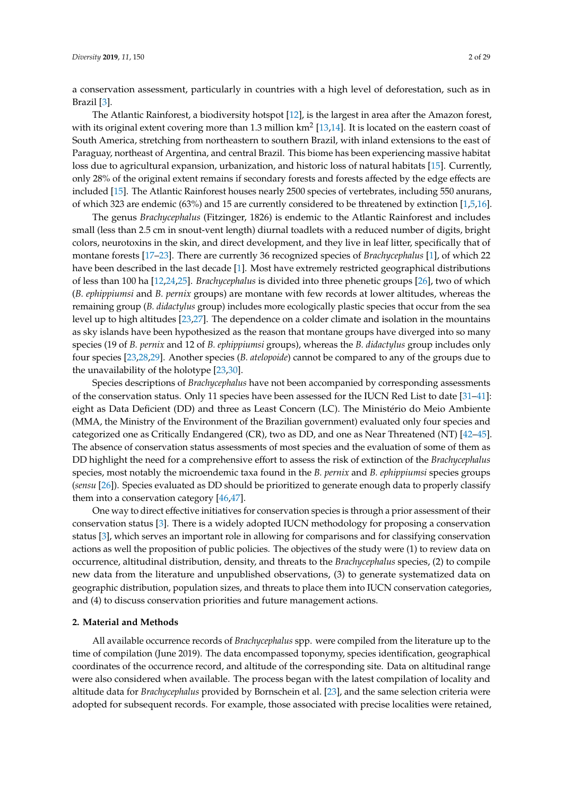a conservation assessment, particularly in countries with a high level of deforestation, such as in Brazil [\[3\]](#page-22-2).

The Atlantic Rainforest, a biodiversity hotspot [\[12\]](#page-22-10), is the largest in area after the Amazon forest, with its original extent covering more than 1.3 million  $km^2$  [\[13,](#page-22-11)[14\]](#page-22-12). It is located on the eastern coast of South America, stretching from northeastern to southern Brazil, with inland extensions to the east of Paraguay, northeast of Argentina, and central Brazil. This biome has been experiencing massive habitat loss due to agricultural expansion, urbanization, and historic loss of natural habitats [\[15\]](#page-22-13). Currently, only 28% of the original extent remains if secondary forests and forests affected by the edge effects are included [\[15\]](#page-22-13). The Atlantic Rainforest houses nearly 2500 species of vertebrates, including 550 anurans, of which 323 are endemic (63%) and 15 are currently considered to be threatened by extinction [\[1](#page-22-0)[,5](#page-22-4)[,16\]](#page-22-14).

The genus *Brachycephalus* (Fitzinger, 1826) is endemic to the Atlantic Rainforest and includes small (less than 2.5 cm in snout-vent length) diurnal toadlets with a reduced number of digits, bright colors, neurotoxins in the skin, and direct development, and they live in leaf litter, specifically that of montane forests [\[17](#page-22-15)[–23\]](#page-23-0). There are currently 36 recognized species of *Brachycephalus* [\[1\]](#page-22-0), of which 22 have been described in the last decade [\[1\]](#page-22-0). Most have extremely restricted geographical distributions of less than 100 ha [\[12,](#page-22-10)[24,](#page-23-1)[25\]](#page-23-2). *Brachycephalus* is divided into three phenetic groups [\[26\]](#page-23-3), two of which (*B. ephippiumsi* and *B. pernix* groups) are montane with few records at lower altitudes, whereas the remaining group (*B. didactylus* group) includes more ecologically plastic species that occur from the sea level up to high altitudes [\[23,](#page-23-0)[27\]](#page-23-4). The dependence on a colder climate and isolation in the mountains as sky islands have been hypothesized as the reason that montane groups have diverged into so many species (19 of *B. pernix* and 12 of *B. ephippiumsi* groups), whereas the *B. didactylus* group includes only four species [\[23,](#page-23-0)[28,](#page-23-5)[29\]](#page-23-6). Another species (*B. atelopoide*) cannot be compared to any of the groups due to the unavailability of the holotype [\[23](#page-23-0)[,30\]](#page-23-7).

Species descriptions of *Brachycephalus* have not been accompanied by corresponding assessments of the conservation status. Only 11 species have been assessed for the IUCN Red List to date [\[31](#page-23-8)[–41\]](#page-23-9): eight as Data Deficient (DD) and three as Least Concern (LC). The Ministério do Meio Ambiente (MMA, the Ministry of the Environment of the Brazilian government) evaluated only four species and categorized one as Critically Endangered (CR), two as DD, and one as Near Threatened (NT) [\[42–](#page-24-0)[45\]](#page-24-1). The absence of conservation status assessments of most species and the evaluation of some of them as DD highlight the need for a comprehensive effort to assess the risk of extinction of the *Brachycephalus* species, most notably the microendemic taxa found in the *B. pernix* and *B. ephippiumsi* species groups (*sensu* [\[26\]](#page-23-3)). Species evaluated as DD should be prioritized to generate enough data to properly classify them into a conservation category [\[46,](#page-24-2)[47\]](#page-24-3).

One way to direct effective initiatives for conservation species is through a prior assessment of their conservation status [\[3\]](#page-22-2). There is a widely adopted IUCN methodology for proposing a conservation status [\[3\]](#page-22-2), which serves an important role in allowing for comparisons and for classifying conservation actions as well the proposition of public policies. The objectives of the study were (1) to review data on occurrence, altitudinal distribution, density, and threats to the *Brachycephalus* species, (2) to compile new data from the literature and unpublished observations, (3) to generate systematized data on geographic distribution, population sizes, and threats to place them into IUCN conservation categories, and (4) to discuss conservation priorities and future management actions.

#### **2. Material and Methods**

All available occurrence records of *Brachycephalus* spp. were compiled from the literature up to the time of compilation (June 2019). The data encompassed toponymy, species identification, geographical coordinates of the occurrence record, and altitude of the corresponding site. Data on altitudinal range were also considered when available. The process began with the latest compilation of locality and altitude data for *Brachycephalus* provided by Bornschein et al. [\[23\]](#page-23-0), and the same selection criteria were adopted for subsequent records. For example, those associated with precise localities were retained,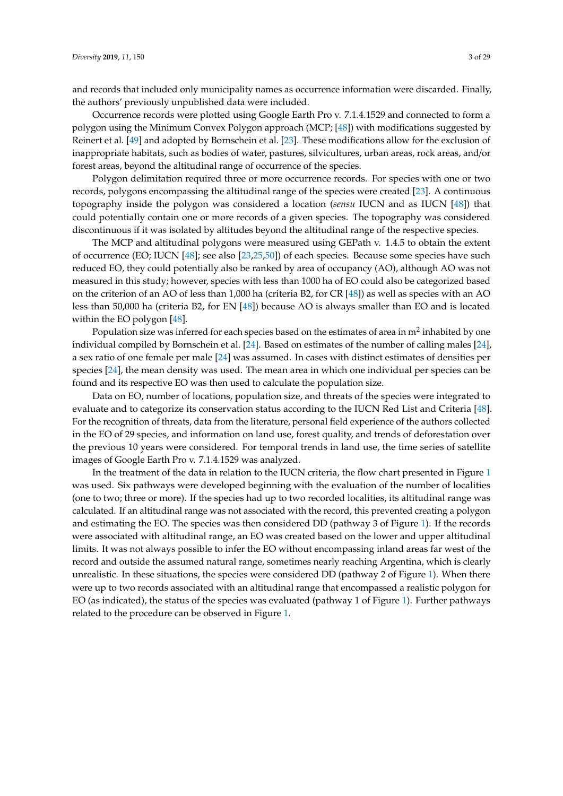and records that included only municipality names as occurrence information were discarded. Finally, the authors' previously unpublished data were included.

Occurrence records were plotted using Google Earth Pro v. 7.1.4.1529 and connected to form a polygon using the Minimum Convex Polygon approach (MCP; [\[48\]](#page-24-4)) with modifications suggested by Reinert et al. [\[49\]](#page-24-5) and adopted by Bornschein et al. [\[23\]](#page-23-0). These modifications allow for the exclusion of inappropriate habitats, such as bodies of water, pastures, silvicultures, urban areas, rock areas, and/or forest areas, beyond the altitudinal range of occurrence of the species.

Polygon delimitation required three or more occurrence records. For species with one or two records, polygons encompassing the altitudinal range of the species were created [\[23\]](#page-23-0). A continuous topography inside the polygon was considered a location (*sensu* IUCN and as IUCN [\[48\]](#page-24-4)) that could potentially contain one or more records of a given species. The topography was considered discontinuous if it was isolated by altitudes beyond the altitudinal range of the respective species.

The MCP and altitudinal polygons were measured using GEPath v. 1.4.5 to obtain the extent of occurrence (EO; IUCN [\[48\]](#page-24-4); see also [\[23](#page-23-0)[,25](#page-23-2)[,50\]](#page-24-6)) of each species. Because some species have such reduced EO, they could potentially also be ranked by area of occupancy (AO), although AO was not measured in this study; however, species with less than 1000 ha of EO could also be categorized based on the criterion of an AO of less than 1,000 ha (criteria B2, for CR [\[48\]](#page-24-4)) as well as species with an AO less than 50,000 ha (criteria B2, for EN [\[48\]](#page-24-4)) because AO is always smaller than EO and is located within the EO polygon [\[48\]](#page-24-4).

Population size was inferred for each species based on the estimates of area in  $\mathrm{m}^2$  inhabited by one individual compiled by Bornschein et al. [\[24\]](#page-23-1). Based on estimates of the number of calling males [\[24\]](#page-23-1), a sex ratio of one female per male [\[24\]](#page-23-1) was assumed. In cases with distinct estimates of densities per species [\[24\]](#page-23-1), the mean density was used. The mean area in which one individual per species can be found and its respective EO was then used to calculate the population size.

Data on EO, number of locations, population size, and threats of the species were integrated to evaluate and to categorize its conservation status according to the IUCN Red List and Criteria [\[48\]](#page-24-4). For the recognition of threats, data from the literature, personal field experience of the authors collected in the EO of 29 species, and information on land use, forest quality, and trends of deforestation over the previous 10 years were considered. For temporal trends in land use, the time series of satellite images of Google Earth Pro v. 7.1.4.1529 was analyzed.

In the treatment of the data in relation to the IUCN criteria, the flow chart presented in Figure [1](#page-3-0) was used. Six pathways were developed beginning with the evaluation of the number of localities (one to two; three or more). If the species had up to two recorded localities, its altitudinal range was calculated. If an altitudinal range was not associated with the record, this prevented creating a polygon and estimating the EO. The species was then considered DD (pathway 3 of Figure [1\)](#page-3-0). If the records were associated with altitudinal range, an EO was created based on the lower and upper altitudinal limits. It was not always possible to infer the EO without encompassing inland areas far west of the record and outside the assumed natural range, sometimes nearly reaching Argentina, which is clearly unrealistic. In these situations, the species were considered DD (pathway 2 of Figure [1\)](#page-3-0). When there were up to two records associated with an altitudinal range that encompassed a realistic polygon for EO (as indicated), the status of the species was evaluated (pathway 1 of Figure [1\)](#page-3-0). Further pathways related to the procedure can be observed in Figure [1.](#page-3-0)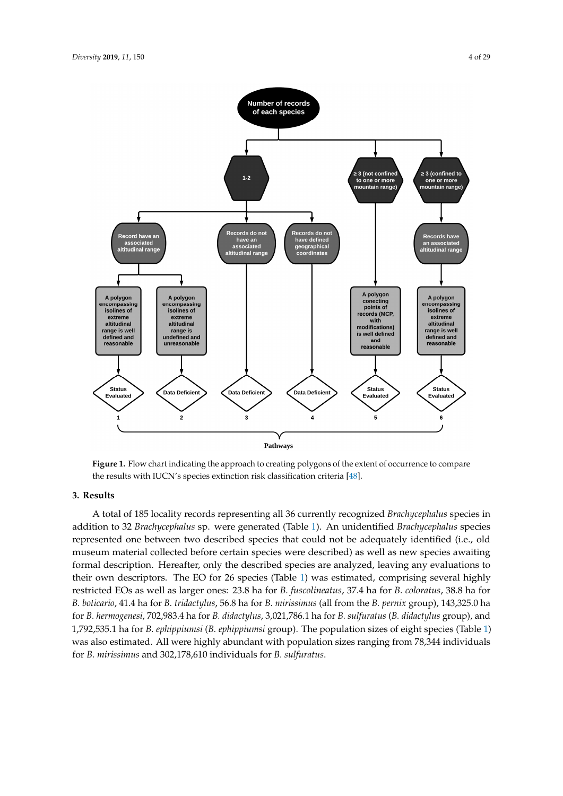<span id="page-3-1"></span><span id="page-3-0"></span>

**Figure 1.** Flow chart indicating the approach to creating polygons of the extent of occurrence to **Figure 1.** Flow chart indicating the approach to creating polygons of the extent of occurrence to compare the results with IUCN's species extinction risk classificati[on c](#page-24-4)riteria [48].

## **3. Results**

A total of 185 locality records representing all 36 currently recognized *Brachycephalus* species in addition to 32 *Brachycephalus* sp. were generated (Table [1\)](#page-15-0). An unidentified *Brachycephalus* species represented one between two described species that could not be adequately identified (i.e., old museum material collected before certain species were described) as well as new species awaiting formal description. Hereafter, only the described species are analyzed, leaving any evaluations to their own descriptors. The EO for 26 species (Table [1\)](#page-15-0) was estimated, comprising several highly restricted EOs as well as larger ones: 23.8 ha for *B. fuscolineatus*, 37.4 ha for *B. coloratus*, 38.8 ha for *B. boticario*, 41.4 ha for *B. tridactylus*, 56.8 ha for *B. mirissimus* (all from the *B. pernix* group), 143,325.0 ha for *B. hermogenesi*, 702,983.4 ha for *B. didactylus*, 3,021,786.1 ha for *B. sulfuratus* (*B. didactylus* group), and 1,792,535.1 ha for *B. ephippiumsi* (*B. ephippiumsi* group). The population sizes of eight species (Table [1\)](#page-15-0) was also estimated. All were highly abundant with population sizes ranging from 78,344 individuals for *B. mirissimus* and 302,178,610 individuals for *B. sulfuratus*.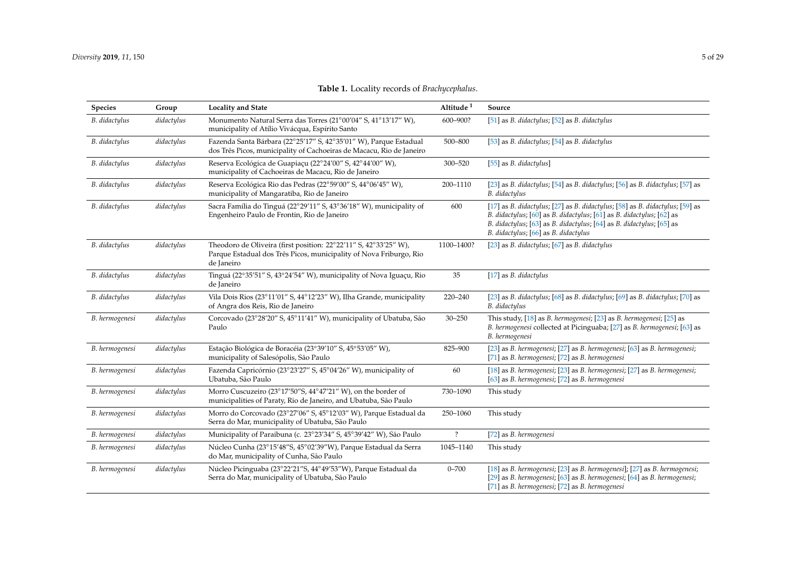## **Table 1.** Locality records of *Brachycephalus*.

| <b>Species</b> | Group      | <b>Locality and State</b>                                                                                                                            | Altitude <sup>1</sup> | Source                                                                                                                                                                                                                                                               |
|----------------|------------|------------------------------------------------------------------------------------------------------------------------------------------------------|-----------------------|----------------------------------------------------------------------------------------------------------------------------------------------------------------------------------------------------------------------------------------------------------------------|
| B. didactylus  | didactylus | Monumento Natural Serra das Torres (21°00'04" S, 41°13'17" W),<br>municipality of Atílio Vivácqua, Espírito Santo                                    | 600-900?              | [51] as B. didactylus; [52] as B. didactylus                                                                                                                                                                                                                         |
| B. didactylus  | didactylus | Fazenda Santa Bárbara (22°25'17" S, 42°35'01" W), Parque Estadual<br>dos Três Picos, municipality of Cachoeiras de Macacu, Rio de Janeiro            | 500-800               | [53] as B. didactylus; [54] as B. didactylus                                                                                                                                                                                                                         |
| B. didactylus  | didactylus | Reserva Ecológica de Guapiaçu (22°24'00" S, 42°44'00" W),<br>municipality of Cachoeiras de Macacu, Rio de Janeiro                                    | 300-520               | [55] as $B.$ didactylus]                                                                                                                                                                                                                                             |
| B. didactylus  | didactylus | Reserva Ecológica Rio das Pedras (22°59'00" S, 44°06'45" W),<br>municipality of Mangaratiba, Rio de Janeiro                                          | 200-1110              | [23] as B. didactylus; $[54]$ as B. didactylus; $[56]$ as B. didactylus; $[57]$ as<br>B. didactylus                                                                                                                                                                  |
| B. didactylus  | didactylus | Sacra Família do Tinguá (22°29'11" S, 43°36'18" W), municipality of<br>Engenheiro Paulo de Frontin, Rio de Janeiro                                   | 600                   | [17] as B. didactylus; [27] as B. didactylus; [58] as B. didactylus; [59] as<br>B. didactylus; [60] as B. didactylus; [61] as B. didactylus; [62] as<br>B. didactylus; [63] as B. didactylus; [64] as B. didactylus; [65] as<br>B. didactylus; [66] as B. didactylus |
| B. didactylus  | didactylus | Theodoro de Oliveira (first position: 22°22'11" S, 42°33'25" W),<br>Parque Estadual dos Três Picos, municipality of Nova Friburgo, Rio<br>de Janeiro | 1100-1400?            | [23] as B. didactylus; $[67]$ as B. didactylus                                                                                                                                                                                                                       |
| B. didactylus  | didactylus | Tinguá (22°35'51" S, 43°24'54" W), municipality of Nova Iguaçu, Rio<br>de Janeiro                                                                    | 35                    | [17] as $B.$ didactylus                                                                                                                                                                                                                                              |
| B. didactylus  | didactylus | Vila Dois Rios (23°11'01" S, 44°12'23" W), Ilha Grande, municipality<br>of Angra dos Reis, Rio de Janeiro                                            | $220 - 240$           | [23] as B. didactylus; [68] as B. didactylus; [69] as B. didactylus; [70] as<br>B. didactylus                                                                                                                                                                        |
| B. hermogenesi | didactylus | Corcovado (23°28'20" S, 45°11'41" W), municipality of Ubatuba, São<br>Paulo                                                                          | $30 - 250$            | This study, [18] as B. hermogenesi; [23] as B. hermogenesi; [25] as<br>B. hermogenesi collected at Picinguaba; [27] as B. hermogenesi; [63] as<br>B. hermogenesi                                                                                                     |
| B. hermogenesi | didactylus | Estação Biológica de Boracéia (23°39'10" S, 45°53'05" W),<br>municipality of Salesópolis, São Paulo                                                  | 825-900               | [23] as B. hermogenesi; [27] as B. hermogenesi; [63] as B. hermogenesi;<br>[71] as B. hermogenesi; [72] as B. hermogenesi                                                                                                                                            |
| B. hermogenesi | didactylus | Fazenda Capricórnio (23°23'27" S, 45°04'26" W), municipality of<br>Ubatuba, São Paulo                                                                | 60                    | [18] as B. hermogenesi; [23] as B. hermogenesi; [27] as B. hermogenesi;<br>[63] as B. hermogenesi; $[72]$ as B. hermogenesi                                                                                                                                          |
| B. hermogenesi | didactylus | Morro Cuscuzeiro (23°17'50"S, 44°47'21" W), on the border of<br>municipalities of Paraty, Rio de Janeiro, and Ubatuba, São Paulo                     | 730-1090              | This study                                                                                                                                                                                                                                                           |
| B. hermogenesi | didactylus | Morro do Corcovado (23°27'06" S, 45°12'03" W), Parque Estadual da<br>Serra do Mar, municipality of Ubatuba, São Paulo                                | 250-1060              | This study                                                                                                                                                                                                                                                           |
| B. hermogenesi | didactylus | Municipality of Paraibuna (c. 23°23'34" S, 45°39'42" W), São Paulo                                                                                   | $\ddot{?}$            | [72] as B. hermogenesi                                                                                                                                                                                                                                               |
| B. hermogenesi | didactylus | Núcleo Cunha (23°15'48"S, 45°02'39"W), Parque Estadual da Serra<br>do Mar, municipality of Cunha, São Paulo                                          | 1045-1140             | This study                                                                                                                                                                                                                                                           |
| B. hermogenesi | didactylus | Núcleo Picinguaba (23°22'21"S, 44°49'53"W), Parque Estadual da<br>Serra do Mar, municipality of Ubatuba, São Paulo                                   | $0 - 700$             | [18] as B. hermogenesi; [23] as B. hermogenesi]; [27] as B. hermogenesi;<br>[29] as B. hermogenesi; [63] as B. hermogenesi; [64] as B. hermogenesi;<br>[71] as B. hermogenesi; [72] as B. hermogenesi                                                                |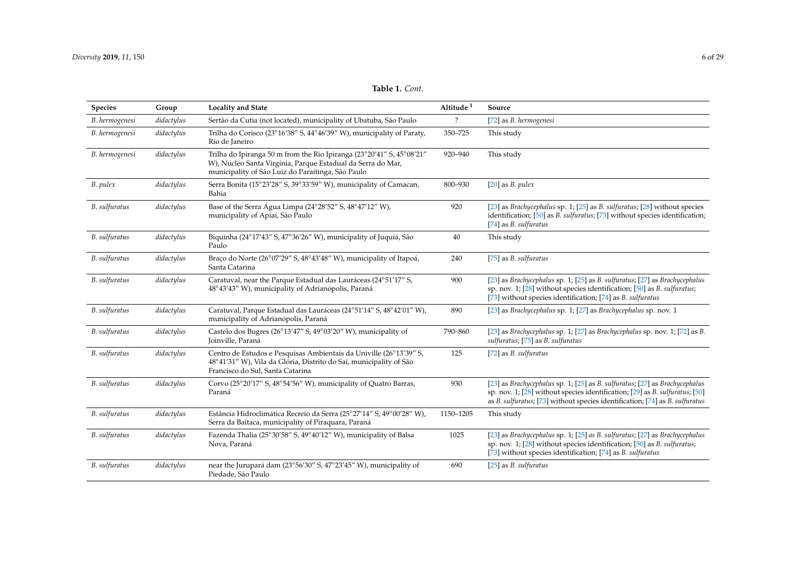| <b>Species</b>       | Group      | <b>Locality and State</b>                                                                                                                                                                 | Altitude <sup>1</sup> | Source                                                                                                                                                                                                                                      |
|----------------------|------------|-------------------------------------------------------------------------------------------------------------------------------------------------------------------------------------------|-----------------------|---------------------------------------------------------------------------------------------------------------------------------------------------------------------------------------------------------------------------------------------|
| B. hermogenesi       | didactylus | Sertão da Cutia (not located), municipality of Ubatuba, São Paulo                                                                                                                         | ?                     | [72] as B. hermogenesi                                                                                                                                                                                                                      |
| B. hermogenesi       | didactylus | Trilha do Corisco (23°16'38" S, 44°46'39" W), municipality of Paraty,<br>Rio de Janeiro                                                                                                   | 350-725               | This study                                                                                                                                                                                                                                  |
| B. hermogenesi       | didactylus | Trilha do Ipiranga 50 m from the Rio Ipiranga (23°20'41" S, 45°08'21"<br>W), Núcleo Santa Virgínia, Parque Estadual da Serra do Mar,<br>municipality of São Luiz do Paraitinga, São Paulo | 920-940               | This study                                                                                                                                                                                                                                  |
| B. pulex             | didactylus | Serra Bonita (15°23'28" S, 39°33'59" W), municipality of Camacan,<br>Bahia                                                                                                                | 800-930               | $[20]$ as <i>B. pulex</i>                                                                                                                                                                                                                   |
| <b>B.</b> sulfuratus | didactylus | Base of the Serra Água Limpa (24°28'52" S, 48°47'12" W),<br>municipality of Apiaí, São Paulo                                                                                              | 920                   | [23] as Brachycephalus sp. 1; [25] as B. sulfuratus; [28] without species<br>identification; [50] as <i>B. sulfuratus</i> ; [73] without species identification;<br>[74] as $B.$ sulfuratus                                                 |
| <b>B.</b> sulfuratus | didactylus | Biquinha (24°17'43" S, 47°36'26" W), municipality of Juquiá, São<br>Paulo                                                                                                                 | 40                    | This study                                                                                                                                                                                                                                  |
| <b>B.</b> sulfuratus | didactylus | Braço do Norte (26°07'29" S, 48°43'48" W), municipality of Itapoá,<br>Santa Catarina                                                                                                      | 240                   | [75] as $B.$ sulfuratus                                                                                                                                                                                                                     |
| B. sulfuratus        | didactylus | Caratuval, near the Parque Estadual das Lauráceas (24°51'17" S,<br>48°43'43" W), municipality of Adrianópolis, Paraná                                                                     | 900                   | [23] as Brachycephalus sp. 1; [25] as B. sulfuratus; [27] as Brachycephalus<br>sp. nov. 1; [28] without species identification; [50] as <i>B. sulfuratus</i> ;<br>[73] without species identification; [74] as <i>B. sulfuratus</i>         |
| <b>B.</b> sulfuratus | didactylus | Caratuval, Parque Estadual das Lauráceas (24°51'14" S, 48°42'01" W),<br>municipality of Adrianópolis, Paraná                                                                              | 890                   | [23] as Brachycephalus sp. 1; [27] as Brachycephalus sp. nov. 1                                                                                                                                                                             |
| <b>B.</b> sulfuratus | didactylus | Castelo dos Bugres (26°13'47" S, 49°03'20" W), municipality of<br>Joinville, Paraná                                                                                                       | 790-860               | [23] as Brachycephalus sp. 1; [27] as Brachycephalus sp. nov. 1; [72] as B.<br>sulfuratus; [75] as B. sulfuratus                                                                                                                            |
| <b>B.</b> sulfuratus | didactylus | Centro de Estudos e Pesquisas Ambientais da Univille (26°13'39" S,<br>48°41'31" W), Vila da Glória, Distrito do Saí, municipality of São<br>Francisco do Sul, Santa Catarina              | 125                   | [72] as <i>B. sulfuratus</i>                                                                                                                                                                                                                |
| B. sulfuratus        | didactylus | Corvo (25°20'17" S, 48°54'56" W), municipality of Quatro Barras,<br>Paraná                                                                                                                | 930                   | [23] as Brachycephalus sp. 1; [25] as B. sulfuratus; [27] as Brachycephalus<br>sp. nov. 1; [28] without species identification; [29] as B. sulfuratus; [50]<br>as B. sulfuratus; [73] without species identification; [74] as B. sulfuratus |
| <b>B.</b> sulfuratus | didactylus | Estância Hidroclimática Recreio da Serra (25°27'14" S, 49°00'28" W),<br>Serra da Baitaca, municipality of Piraquara, Paraná                                                               | 1150-1205             | This study                                                                                                                                                                                                                                  |
| <b>B.</b> sulfuratus | didactylus | Fazenda Thalia (25°30'58" S, 49°40'12" W), municipality of Balsa<br>Nova, Paraná                                                                                                          | 1025                  | [23] as Brachycephalus sp. 1; [25] as B. sulfuratus; [27] as Brachycephalus<br>sp. nov. 1; [28] without species identification; [50] as <i>B. sulfuratus</i> ;<br>[73] without species identification; [74] as <i>B. sulfuratus</i>         |
| B. sulfuratus        | didactylus | near the Jurupará dam (23°56'30" S, 47°23'45" W), municipality of<br>Piedade, São Paulo                                                                                                   | 690                   | [ $25$ ] as <i>B. sulfuratus</i>                                                                                                                                                                                                            |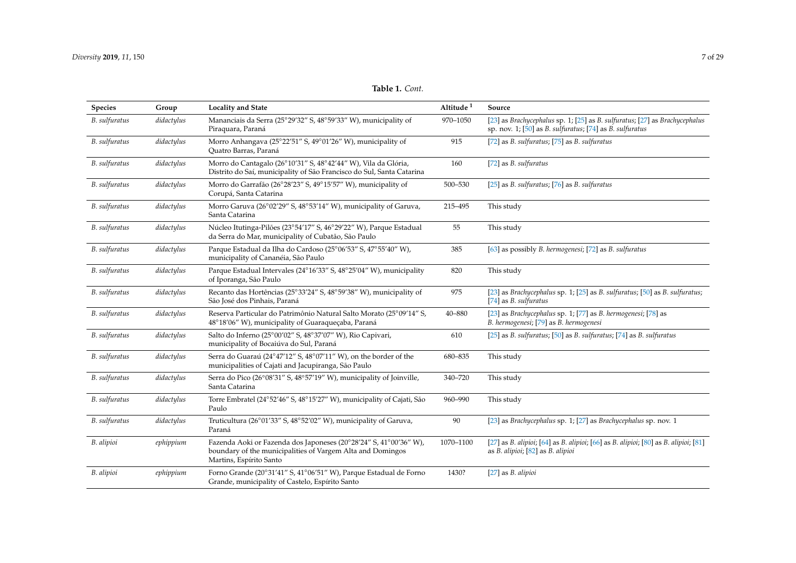**Table 1.** *Cont.*

| <b>Species</b>       | Group      | <b>Locality and State</b>                                                                                                                                  | Altitude <sup>1</sup> | Source                                                                                                                                                 |
|----------------------|------------|------------------------------------------------------------------------------------------------------------------------------------------------------------|-----------------------|--------------------------------------------------------------------------------------------------------------------------------------------------------|
| <b>B.</b> sulfuratus | didactylus | Mananciais da Serra (25°29'32" S, 48°59'33" W), municipality of<br>Piraquara, Paraná                                                                       | 970-1050              | [23] as Brachycephalus sp. 1; [25] as B. sulfuratus; [27] as Brachycephalus<br>sp. nov. 1; [50] as <i>B. sulfuratus</i> ; [74] as <i>B. sulfuratus</i> |
| B. sulfuratus        | didactylus | Morro Anhangava (25°22'51" S, 49°01'26" W), municipality of<br>Quatro Barras, Paraná                                                                       | 915                   | [72] as B. sulfuratus; $[75]$ as B. sulfuratus                                                                                                         |
| B. sulfuratus        | didactylus | Morro do Cantagalo (26°10'31" S, 48°42'44" W), Vila da Glória,<br>Distrito do Saí, municipality of São Francisco do Sul, Santa Catarina                    | 160                   | [72] as $B.$ sulfuratus                                                                                                                                |
| <b>B.</b> sulfuratus | didactylus | Morro do Garrafão (26°28'23" S, 49°15'57" W), municipality of<br>Corupá, Santa Catarina                                                                    | 500-530               | [ $25$ ] as <i>B. sulfuratus</i> ; [ $76$ ] as <i>B. sulfuratus</i>                                                                                    |
| B. sulfuratus        | didactylus | Morro Garuva (26°02'29" S, 48°53'14" W), municipality of Garuva,<br>Santa Catarina                                                                         | 215-495               | This study                                                                                                                                             |
| B. sulfuratus        | didactylus | Núcleo Itutinga-Pilões (23°54'17" S, 46°29'22" W), Parque Estadual<br>da Serra do Mar, municipality of Cubatão, São Paulo                                  | 55                    | This study                                                                                                                                             |
| B. sulfuratus        | didactylus | Parque Estadual da Ilha do Cardoso (25°06'53" S, 47°55'40" W),<br>municipality of Cananéia, São Paulo                                                      | 385                   | [63] as possibly B. hermogenesi; [72] as B. sulfuratus                                                                                                 |
| <b>B.</b> sulfuratus | didactylus | Parque Estadual Intervales (24°16'33" S, 48°25'04" W), municipality<br>of Iporanga, São Paulo                                                              | 820                   | This study                                                                                                                                             |
| B. sulfuratus        | didactylus | Recanto das Hortências (25°33'24" S, 48°59'38" W), municipality of<br>São José dos Pinhais, Paraná                                                         | 975                   | [23] as Brachycephalus sp. 1; [25] as B. sulfuratus; [50] as B. sulfuratus;<br>[74] as B. sulfuratus                                                   |
| B. sulfuratus        | didactylus | Reserva Particular do Patrimônio Natural Salto Morato (25°09'14" S,<br>48°18'06" W), municipality of Guaraqueçaba, Paraná                                  | 40-880                | [23] as Brachycephalus sp. 1; [77] as B. hermogenesi; [78] as<br>B. hermogenesi; [79] as B. hermogenesi                                                |
| <b>B.</b> sulfuratus | didactylus | Salto do Inferno (25°00'02" S, 48°37'07" W), Rio Capivari,<br>municipality of Bocaiúva do Sul, Paraná                                                      | 610                   | [25] as B. sulfuratus; $[50]$ as B. sulfuratus; $[74]$ as B. sulfuratus                                                                                |
| B. sulfuratus        | didactylus | Serra do Guaraú (24°47'12" S, 48°07'11" W), on the border of the<br>municipalities of Cajati and Jacupiranga, São Paulo                                    | 680-835               | This study                                                                                                                                             |
| B. sulfuratus        | didactylus | Serra do Pico (26°08'31" S, 48°57'19" W), municipality of Joinville,<br>Santa Catarina                                                                     | 340-720               | This study                                                                                                                                             |
| <b>B.</b> sulfuratus | didactylus | Torre Embratel (24°52'46" S, 48°15'27" W), municipality of Cajati, São<br>Paulo                                                                            | 960-990               | This study                                                                                                                                             |
| B. sulfuratus        | didactylus | Truticultura (26°01'33" S, 48°52'02" W), municipality of Garuva,<br>Paraná                                                                                 | 90                    | [23] as Brachycephalus sp. 1; [27] as Brachycephalus sp. nov. 1                                                                                        |
| B. alipioi           | ephippium  | Fazenda Aoki or Fazenda dos Japoneses (20°28'24" S, 41°00'36" W),<br>boundary of the municipalities of Vargem Alta and Domingos<br>Martins, Espírito Santo | 1070-1100             | [27] as B. alipioi; $[64]$ as B. alipioi; $[66]$ as B. alipioi; $[80]$ as B. alipioi; $[81]$<br>as B. alipioi; $[82]$ as B. alipioi                    |
| B. alipioi           | ephippium  | Forno Grande (20°31'41" S, 41°06'51" W), Parque Estadual de Forno<br>Grande, municipality of Castelo, Espírito Santo                                       | 1430?                 | $[27]$ as B. alipioi                                                                                                                                   |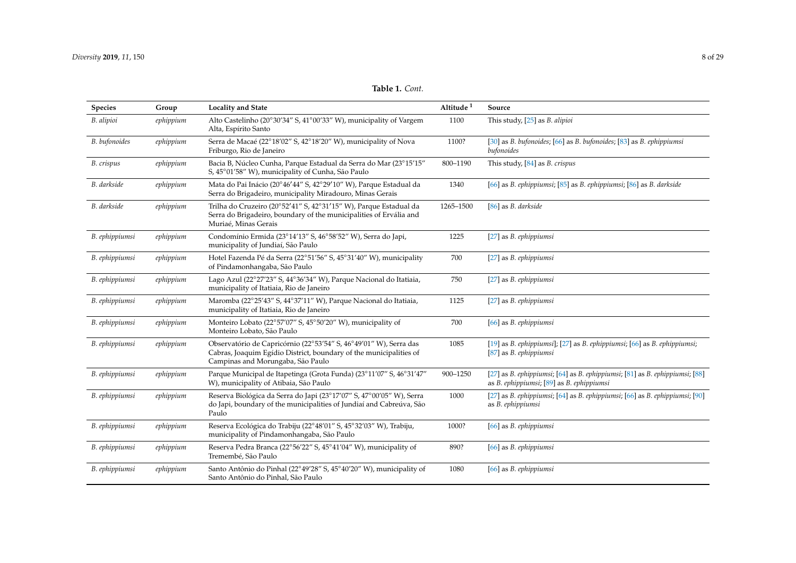**Table 1.** *Cont.*

| <b>Species</b> | Group     | <b>Locality and State</b>                                                                                                                                                    | Altitude <sup>1</sup> | Source                                                                                                                          |
|----------------|-----------|------------------------------------------------------------------------------------------------------------------------------------------------------------------------------|-----------------------|---------------------------------------------------------------------------------------------------------------------------------|
| B. alipioi     | ephippium | Alto Castelinho (20°30'34" S, 41°00'33" W), municipality of Vargem<br>Alta, Espírito Santo                                                                                   | 1100                  | This study, $[25]$ as <i>B. alipioi</i>                                                                                         |
| B. bufonoides  | ephippium | Serra de Macaé (22°18'02" S, 42°18'20" W), municipality of Nova<br>Friburgo, Rio de Janeiro                                                                                  | 1100?                 | [30] as B. bufonoides; $[66]$ as B. bufonoides; $[83]$ as B. ephippiumsi<br>bufonoides                                          |
| B. crispus     | ephippium | Bacia B, Núcleo Cunha, Parque Estadual da Serra do Mar (23°15'15"<br>S, 45°01'58" W), municipality of Cunha, São Paulo                                                       | 800-1190              | This study, [84] as B. crispus                                                                                                  |
| B. darkside    | ephippium | Mata do Pai Inácio (20°46'44" S, 42°29'10" W), Parque Estadual da<br>Serra do Brigadeiro, municipality Miradouro, Minas Gerais                                               | 1340                  | [66] as B. ephippiumsi; $[85]$ as B. ephippiumsi; $[86]$ as B. darkside                                                         |
| B. darkside    | ephippium | Trilha do Cruzeiro (20°52'41" S, 42°31'15" W), Parque Estadual da<br>Serra do Brigadeiro, boundary of the municipalities of Ervália and<br>Muriaé, Minas Gerais              | 1265-1500             | [86] as B. darkside                                                                                                             |
| B. ephippiumsi | ephippium | Condomínio Ermida (23°14'13" S, 46°58'52" W), Serra do Japi,<br>municipality of Jundiaí, São Paulo                                                                           | 1225                  | $[27]$ as <i>B. ephippiumsi</i>                                                                                                 |
| B. ephippiumsi | ephippium | Hotel Fazenda Pé da Serra (22°51'56" S, 45°31'40" W), municipality<br>of Pindamonhangaba, São Paulo                                                                          | 700                   | $[27]$ as <i>B. ephippiumsi</i>                                                                                                 |
| B. ephippiumsi | ephippium | Lago Azul (22°27'23" S, 44°36'34" W), Parque Nacional do Itatiaia,<br>municipality of Itatiaia, Rio de Janeiro                                                               | 750                   | $[27]$ as <i>B. ephippiumsi</i>                                                                                                 |
| B. ephippiumsi | ephippium | Maromba (22°25'43" S, 44°37'11" W), Parque Nacional do Itatiaia,<br>municipality of Itatiaia, Rio de Janeiro                                                                 | 1125                  | $[27]$ as <i>B. ephippiumsi</i>                                                                                                 |
| B. ephippiumsi | ephippium | Monteiro Lobato (22°57'07" S, 45°50'20" W), municipality of<br>Monteiro Lobato, São Paulo                                                                                    | 700                   | $[66]$ as <i>B. ephippiumsi</i>                                                                                                 |
| B. ephippiumsi | ephippium | Observatório de Capricórnio (22°53'54" S, 46°49'01" W), Serra das<br>Cabras, Joaquim Egídio District, boundary of the municipalities of<br>Campinas and Morungaba, São Paulo | 1085                  | [19] as B. ephippiumsi]; [27] as B. ephippiumsi; $[66]$ as B. ephippiumsi;<br>$[87]$ as B. ephippiumsi                          |
| B. ephippiumsi | ephippium | Parque Municipal de Itapetinga (Grota Funda) (23°11'07" S, 46°31'47"<br>W), municipality of Atibaia, São Paulo                                                               | 900-1250              | [27] as B. ephippiumsi; $[64]$ as B. ephippiumsi; $[81]$ as B. ephippiumsi; $[88]$<br>as B. ephippiumsi; [89] as B. ephippiumsi |
| B. ephippiumsi | ephippium | Reserva Biológica da Serra do Japi (23°17'07" S, 47°00'05" W), Serra<br>do Japi, boundary of the municipalities of Jundiaí and Cabreúva, São<br>Paulo                        | 1000                  | [27] as B. ephippiumsi; $[64]$ as B. ephippiumsi; $[66]$ as B. ephippiumsi; $[90]$<br>as B. ephippiumsi                         |
| B. ephippiumsi | ephippium | Reserva Ecológica do Trabiju (22°48'01" S, 45°32'03" W), Trabiju,<br>municipality of Pindamonhangaba, São Paulo                                                              | 1000?                 | $[66]$ as <i>B. ephippiumsi</i>                                                                                                 |
| B. ephippiumsi | ephippium | Reserva Pedra Branca (22°56'22" S, 45°41'04" W), municipality of<br>Tremembé, São Paulo                                                                                      | 890?                  | $[66]$ as <i>B. ephippiumsi</i>                                                                                                 |
| B. ephippiumsi | ephippium | Santo Antônio do Pinhal (22°49'28" S, 45°40'20" W), municipality of<br>Santo Antônio do Pinhal, São Paulo                                                                    | 1080                  | $[66]$ as <i>B. ephippiumsi</i>                                                                                                 |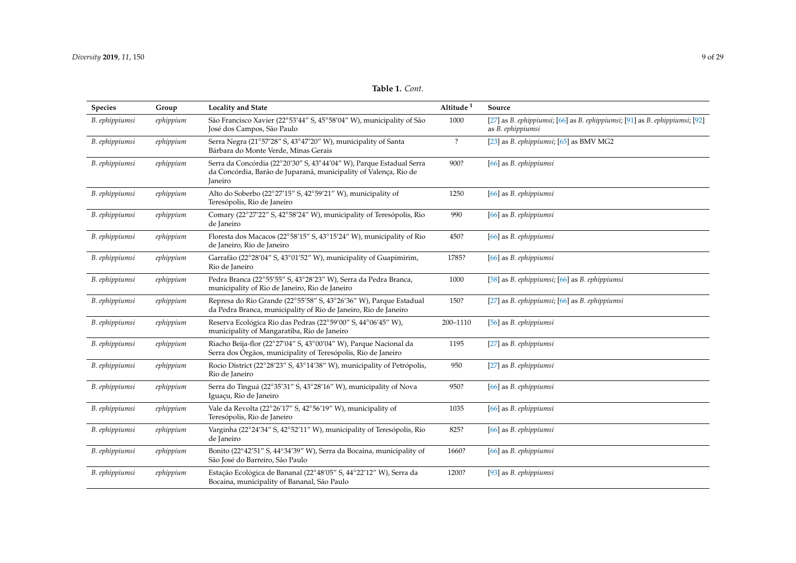**Table 1.** *Cont.*

| <b>Species</b> | Group     | <b>Locality and State</b>                                                                                                                           | Altitude <sup>1</sup> | Source                                                                                                  |
|----------------|-----------|-----------------------------------------------------------------------------------------------------------------------------------------------------|-----------------------|---------------------------------------------------------------------------------------------------------|
| B. ephippiumsi | ephippium | São Francisco Xavier (22°53'44" S, 45°58'04" W), municipality of São<br>José dos Campos, São Paulo                                                  | 1000                  | [27] as B. ephippiumsi; $[66]$ as B. ephippiumsi; $[91]$ as B. ephippiumsi; $[92]$<br>as B. ephippiumsi |
| B. ephippiumsi | ephippium | Serra Negra (21°57'28" S, 43°47'20" W), municipality of Santa<br>Bárbara do Monte Verde, Minas Gerais                                               | $\ddot{?}$            | [23] as B. ephippiumsi; [65] as BMV MG2                                                                 |
| B. ephippiumsi | ephippium | Serra da Concórdia (22°20'30" S, 43°44'04" W), Parque Estadual Serra<br>da Concórdia, Barão de Juparanã, municipality of Valença, Rio de<br>Janeiro | 900?                  | $[66]$ as <i>B. ephippiumsi</i>                                                                         |
| B. ephippiumsi | ephippium | Alto do Soberbo (22°27'15" S, 42°59'21" W), municipality of<br>Teresópolis, Rio de Janeiro                                                          | 1250                  | $[66]$ as <i>B. ephippiumsi</i>                                                                         |
| B. ephippiumsi | ephippium | Comary (22°27'22" S, 42°58'24" W), municipality of Teresópolis, Rio<br>de Janeiro                                                                   | 990                   | $[66]$ as <i>B. ephippiumsi</i>                                                                         |
| B. ephippiumsi | ephippium | Floresta dos Macacos (22°58'15" S, 43°15'24" W), municipality of Rio<br>de Janeiro, Rio de Janeiro                                                  | 450?                  | $[66]$ as <i>B. ephippiumsi</i>                                                                         |
| B. ephippiumsi | ephippium | Garrafão (22°28'04" S, 43°01'52" W), municipality of Guapimirim,<br>Rio de Janeiro                                                                  | 1785?                 | $[66]$ as <i>B. ephippiumsi</i>                                                                         |
| B. ephippiumsi | ephippium | Pedra Branca (22°55'55" S, 43°28'23" W), Serra da Pedra Branca,<br>municipality of Rio de Janeiro, Rio de Janeiro                                   | 1000                  | [58] as B. ephippiumsi; [66] as B. ephippiumsi                                                          |
| B. ephippiumsi | ephippium | Represa do Rio Grande (22°55'58" S, 43°26'36" W), Parque Estadual<br>da Pedra Branca, municipality of Rio de Janeiro, Rio de Janeiro                | 150?                  | [27] as B. ephippiumsi; $[66]$ as B. ephippiumsi                                                        |
| B. ephippiumsi | ephippium | Reserva Ecológica Rio das Pedras (22°59'00" S, 44°06'45" W),<br>municipality of Mangaratiba, Rio de Janeiro                                         | 200-1110              | $[56]$ as <i>B. ephippiumsi</i>                                                                         |
| B. ephippiumsi | ephippium | Riacho Beija-flor (22°27'04" S, 43°00'04" W), Parque Nacional da<br>Serra dos Órgãos, municipality of Teresópolis, Rio de Janeiro                   | 1195                  | [27] as <i>B. ephippiumsi</i>                                                                           |
| B. ephippiumsi | ephippium | Rocio District (22°28'23" S, 43°14'38" W), municipality of Petrópolis,<br>Rio de Janeiro                                                            | 950                   | $[27]$ as B. ephippiumsi                                                                                |
| B. ephippiumsi | ephippium | Serra do Tinguá (22°35'31" S, 43°28'16" W), municipality of Nova<br>Iguaçu, Rio de Janeiro                                                          | 950?                  | $[66]$ as <i>B. ephippiumsi</i>                                                                         |
| B. ephippiumsi | ephippium | Vale da Revolta (22°26'17" S, 42°56'19" W), municipality of<br>Teresópolis, Rio de Janeiro                                                          | 1035                  | $[66]$ as <i>B. ephippiumsi</i>                                                                         |
| B. ephippiumsi | ephippium | Varginha (22°24'34" S, 42°52'11" W), municipality of Teresópolis, Rio<br>de Janeiro                                                                 | 825?                  | $[66]$ as <i>B. ephippiumsi</i>                                                                         |
| B. ephippiumsi | ephippium | Bonito (22°42'51" S, 44°34'39" W), Serra da Bocaina, municipality of<br>São José do Barreiro, São Paulo                                             | 1660?                 | $[66]$ as <i>B. ephippiumsi</i>                                                                         |
| B. ephippiumsi | ephippium | Estação Ecológica de Bananal (22°48'05" S, 44°22'12" W), Serra da<br>Bocaina, municipality of Bananal, São Paulo                                    | 1200?                 | [93] as $B.$ ephippiumsi                                                                                |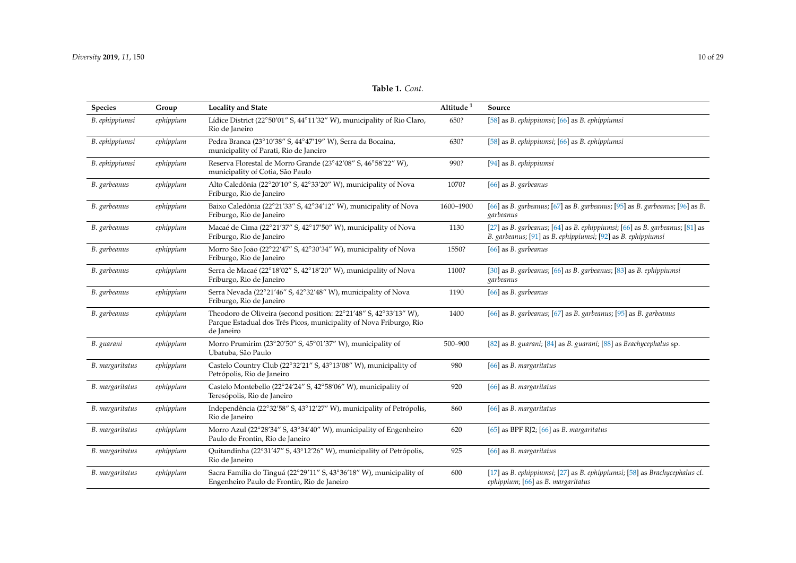| <b>Species</b>  | Group     | <b>Locality and State</b>                                                                                                                             | Altitude <sup>1</sup> | Source                                                                                                                                            |
|-----------------|-----------|-------------------------------------------------------------------------------------------------------------------------------------------------------|-----------------------|---------------------------------------------------------------------------------------------------------------------------------------------------|
| B. ephippiumsi  | ephippium | Lídice District (22°50'01" S, 44°11'32" W), municipality of Rio Claro,<br>Rio de Janeiro                                                              | 650?                  | [58] as B. ephippiumsi; $[66]$ as B. ephippiumsi                                                                                                  |
| B. ephippiumsi  | ephippium | Pedra Branca (23°10'38" S, 44°47'19" W), Serra da Bocaina,<br>municipality of Parati, Rio de Janeiro                                                  | 630?                  | [58] as B. ephippiumsi; $[66]$ as B. ephippiumsi                                                                                                  |
| B. ephippiumsi  | ephippium | Reserva Florestal de Morro Grande (23°42'08" S, 46°58'22" W),<br>municipality of Cotia, São Paulo                                                     | 990?                  | $[94]$ as B. ephippiumsi                                                                                                                          |
| B. garbeanus    | ephippium | Alto Caledônia (22°20'10" S, 42°33'20" W), municipality of Nova<br>Friburgo, Rio de Janeiro                                                           | 1070?                 | $[66]$ as B. garbeanus                                                                                                                            |
| B. garbeanus    | ephippium | Baixo Caledônia (22°21'33" S, 42°34'12" W), municipality of Nova<br>Friburgo, Rio de Janeiro                                                          | 1600-1900             | [66] as B. garbeanus; $[67]$ as B. garbeanus; $[95]$ as B. garbeanus; $[96]$ as B.<br>garbeanus                                                   |
| B. garbeanus    | ephippium | Macaé de Cima (22°21'37" S, 42°17'50" W), municipality of Nova<br>Friburgo, Rio de Janeiro                                                            | 1130                  | [27] as B. garbeanus; $[64]$ as B. ephippiumsi; $[66]$ as B. garbeanus; $[81]$ as<br>B. garbeanus; [91] as B. ephippiumsi; [92] as B. ephippiumsi |
| B. garbeanus    | ephippium | Morro São João (22°22'47" S, 42°30'34" W), municipality of Nova<br>Friburgo, Rio de Janeiro                                                           | 1550?                 | $[66]$ as B. garbeanus                                                                                                                            |
| B. garbeanus    | ephippium | Serra de Macaé (22°18'02" S, 42°18'20" W), municipality of Nova<br>Friburgo, Rio de Janeiro                                                           | 1100?                 | [30] as B. garbeanus; $[66]$ as B. garbeanus; $[83]$ as B. ephippiumsi<br>garbeanus                                                               |
| B. garbeanus    | ephippium | Serra Nevada (22°21'46" S, 42°32'48" W), municipality of Nova<br>Friburgo, Rio de Janeiro                                                             | 1190                  | [66] as B. garbeanus                                                                                                                              |
| B. garbeanus    | ephippium | Theodoro de Oliveira (second position: 22°21'48" S, 42°33'13" W),<br>Parque Estadual dos Três Picos, municipality of Nova Friburgo, Rio<br>de Janeiro | 1400                  | [66] as B. garbeanus; $[67]$ as B. garbeanus; $[95]$ as B. garbeanus                                                                              |
| B. guarani      | ephippium | Morro Prumirim (23°20'50" S, 45°01'37" W), municipality of<br>Ubatuba, São Paulo                                                                      | 500-900               | [82] as B. guarani; [84] as B. guarani; [88] as Brachycephalus sp.                                                                                |
| B. margaritatus | ephippium | Castelo Country Club (22°32'21" S, 43°13'08" W), municipality of<br>Petrópolis, Rio de Janeiro                                                        | 980                   | $[66]$ as B. margaritatus                                                                                                                         |
| B. margaritatus | ephippium | Castelo Montebello (22°24'24" S, 42°58'06" W), municipality of<br>Teresópolis, Rio de Janeiro                                                         | 920                   | $[66]$ as B. margaritatus                                                                                                                         |
| B. margaritatus | ephippium | Independência (22°32'58" S, 43°12'27" W), municipality of Petrópolis,<br>Rio de Janeiro                                                               | 860                   | $[66]$ as B. margaritatus                                                                                                                         |
| B. margaritatus | ephippium | Morro Azul (22°28'34" S, 43°34'40" W), municipality of Engenheiro<br>Paulo de Frontin, Rio de Janeiro                                                 | 620                   | $[65]$ as BPF RJ2; $[66]$ as <i>B. margaritatus</i>                                                                                               |
| B. margaritatus | ephippium | Quitandinha (22°31'47" S, 43°12'26" W), municipality of Petrópolis,<br>Rio de Janeiro                                                                 | 925                   | $[66]$ as B. margaritatus                                                                                                                         |
| B. margaritatus | ephippium | Sacra Família do Tinguá (22°29'11" S, 43°36'18" W), municipality of<br>Engenheiro Paulo de Frontin, Rio de Janeiro                                    | 600                   | [17] as B. ephippiumsi; [27] as B. ephippiumsi; [58] as Brachycephalus cf.<br>ephippium; [66] as B. margaritatus                                  |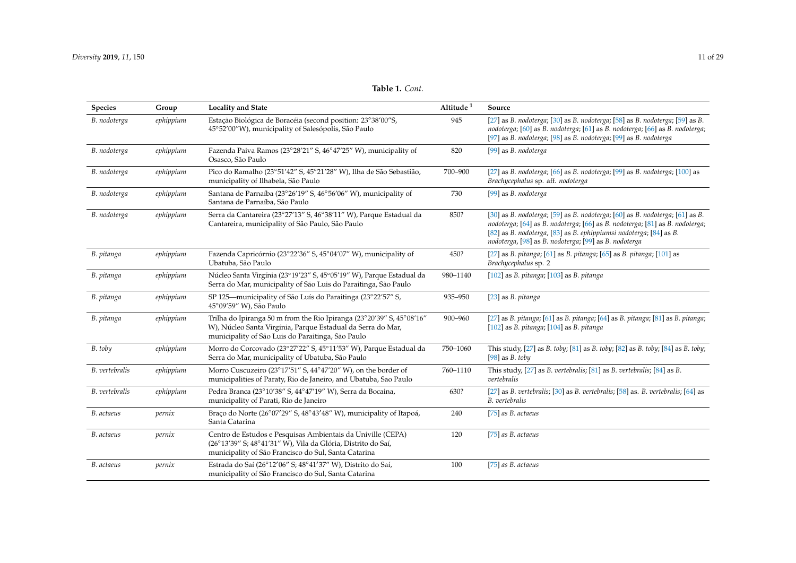| <b>Species</b> | Group     | <b>Locality and State</b>                                                                                                                                                                 | Altitude <sup>1</sup> | Source                                                                                                                                                                                                                                                                                            |
|----------------|-----------|-------------------------------------------------------------------------------------------------------------------------------------------------------------------------------------------|-----------------------|---------------------------------------------------------------------------------------------------------------------------------------------------------------------------------------------------------------------------------------------------------------------------------------------------|
| B. nodoterga   | ephippium | Estação Biológica de Boracéia (second position: 23°38'00"S,<br>45°52'00"W), municipality of Salesópolis, São Paulo                                                                        | 945                   | [27] as B. nodoterga; $[30]$ as B. nodoterga; $[58]$ as B. nodoterga; $[59]$ as B.<br>nodoterga; $[60]$ as B. nodoterga; $[61]$ as B. nodoterga; $[66]$ as B. nodoterga;<br>[97] as B. nodoterga; [98] as B. nodoterga; [99] as B. nodoterga                                                      |
| B. nodoterga   | ephippium | Fazenda Paiva Ramos (23°28'21" S, 46°47'25" W), municipality of<br>Osasco, São Paulo                                                                                                      | 820                   | [99] as B. nodoterga                                                                                                                                                                                                                                                                              |
| B. nodoterga   | ephippium | Pico do Ramalho (23°51'42" S, 45°21'28" W), Ilha de São Sebastião,<br>municipality of Ilhabela, São Paulo                                                                                 | 700-900               | $[27]$ as B. nodoterga; $[66]$ as B. nodoterga; $[99]$ as B. nodoterga; $[100]$ as<br>Brachycephalus sp. aff. nodoterga                                                                                                                                                                           |
| B. nodoterga   | ephippium | Santana de Parnaíba (23°26'19" S, 46°56'06" W), municipality of<br>Santana de Parnaíba, São Paulo                                                                                         | 730                   | [99] as B. nodoterga                                                                                                                                                                                                                                                                              |
| B. nodoterga   | ephippium | Serra da Cantareira (23°27'13" S, 46°38'11" W), Parque Estadual da<br>Cantareira, municipality of São Paulo, São Paulo                                                                    | 850?                  | [30] as B. nodoterga; $[59]$ as B. nodoterga; $[60]$ as B. nodoterga; $[61]$ as B.<br>nodoterga; [64] as B. nodoterga; [66] as B. nodoterga; [81] as B. nodoterga;<br>[82] as B. nodoterga, [83] as B. ephippiumsi nodoterga; [84] as B.<br>nodoterga, [98] as B. nodoterga; [99] as B. nodoterga |
| B. pitanga     | ephippium | Fazenda Capricórnio (23°22'36" S, 45°04'07" W), municipality of<br>Ubatuba, São Paulo                                                                                                     | 450?                  | [27] as B. pitanga; $[61]$ as B. pitanga; $[65]$ as B. pitanga; $[101]$ as<br>Brachycephalus sp. 2                                                                                                                                                                                                |
| B. pitanga     | ephippium | Núcleo Santa Virgínia (23°19'23" S, 45°05'19" W), Parque Estadual da<br>Serra do Mar, municipality of São Luis do Paraitinga, São Paulo                                                   | 980-1140              | $[102]$ as B. pitanga; $[103]$ as B. pitanga                                                                                                                                                                                                                                                      |
| B. pitanga     | ephippium | SP 125—municipality of São Luís do Paraitinga (23°22'57" S,<br>45°09'59" W), São Paulo                                                                                                    | 935-950               | [ $23$ ] as <i>B. pitanga</i>                                                                                                                                                                                                                                                                     |
| B. pitanga     | ephippium | Trilha do Ipiranga 50 m from the Rio Ipiranga (23°20'39" S, 45°08'16"<br>W), Núcleo Santa Virgínia, Parque Estadual da Serra do Mar,<br>municipality of São Luis do Paraitinga, São Paulo | 900-960               | [27] as B. pitanga; $[61]$ as B. pitanga; $[64]$ as B. pitanga; $[81]$ as B. pitanga;<br>$[102]$ as B. pitanga; $[104]$ as B. pitanga                                                                                                                                                             |
| B. toby        | ephippium | Morro do Corcovado (23°27'22" S, 45°11'53" W), Parque Estadual da<br>Serra do Mar, municipality of Ubatuba, São Paulo                                                                     | 750-1060              | This study, [27] as B. toby; [81] as B. toby; [82] as B. toby; [84] as B. toby;<br>[ $98$ ] as <i>B. toby</i>                                                                                                                                                                                     |
| B. vertebralis | ephippium | Morro Cuscuzeiro (23°17'51" S, 44°47'20" W), on the border of<br>municipalities of Paraty, Rio de Janeiro, and Ubatuba, Sao Paulo                                                         | 760-1110              | This study, $[27]$ as <i>B. vertebralis</i> ; $[81]$ as <i>B. vertebralis</i> ; $[84]$ as <i>B.</i><br>vertebralis                                                                                                                                                                                |
| B. vertebralis | ephippium | Pedra Branca (23°10'38" S, 44°47'19" W), Serra da Bocaina,<br>municipality of Parati, Rio de Janeiro                                                                                      | 630?                  | [27] as B. vertebralis; [30] as B. vertebralis; [58] as. B. vertebralis; [64] as<br>B. vertebralis                                                                                                                                                                                                |
| B. actaeus     | pernix    | Braço do Norte (26°07'29" S, 48°43'48" W), municipality of Itapoá,<br>Santa Catarina                                                                                                      | 240                   | [ $75$ ] as B. actaeus                                                                                                                                                                                                                                                                            |
| B. actaeus     | pernix    | Centro de Estudos e Pesquisas Ambientais da Univille (CEPA)<br>(26°13'39" S; 48°41'31" W), Vila da Glória, Distrito do Saí,<br>municipality of São Francisco do Sul, Santa Catarina       | 120                   | [ $75$ ] as B. actaeus                                                                                                                                                                                                                                                                            |
| B. actaeus     | pernix    | Estrada do Saí (26°12'06" S; 48°41'37" W), Distrito do Saí,<br>municipality of São Francisco do Sul, Santa Catarina                                                                       | 100                   | [ $75$ ] as B. actaeus                                                                                                                                                                                                                                                                            |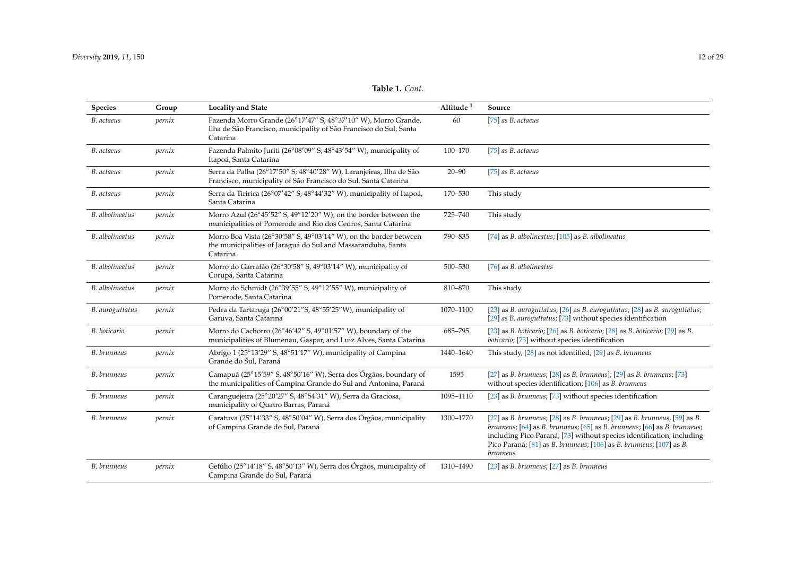| <b>Species</b>     | Group  | <b>Locality and State</b>                                                                                                                        | Altitude $^{\rm 1}$ | Source                                                                                                                                                                                                                                                                                                                                                 |
|--------------------|--------|--------------------------------------------------------------------------------------------------------------------------------------------------|---------------------|--------------------------------------------------------------------------------------------------------------------------------------------------------------------------------------------------------------------------------------------------------------------------------------------------------------------------------------------------------|
| B. actaeus         | pernix | Fazenda Morro Grande (26°17'47" S; 48°37'10" W), Morro Grande,<br>Ilha de São Francisco, municipality of São Francisco do Sul, Santa<br>Catarina | 60                  | [ $75$ ] as B. actaeus                                                                                                                                                                                                                                                                                                                                 |
| B. actaeus         | pernix | Fazenda Palmito Juriti (26°08'09" S; 48°43'54" W), municipality of<br>Itapoá, Santa Catarina                                                     | $100 - 170$         | [ $75$ ] as B. actaeus                                                                                                                                                                                                                                                                                                                                 |
| B. actaeus         | pernix | Serra da Palha (26°17'50" S; 48°40'28" W), Laranjeiras, Ilha de São<br>Francisco, municipality of São Francisco do Sul, Santa Catarina           | $20 - 90$           | $[75]$ as B. actaeus                                                                                                                                                                                                                                                                                                                                   |
| B. actaeus         | pernix | Serra da Tiririca (26°07'42" S, 48°44'32" W), municipality of Itapoá,<br>Santa Catarina                                                          | 170-530             | This study                                                                                                                                                                                                                                                                                                                                             |
| B. albolineatus    | pernix | Morro Azul (26°45'52" S, 49°12'20" W), on the border between the<br>municipalities of Pomerode and Rio dos Cedros, Santa Catarina                | 725-740             | This study                                                                                                                                                                                                                                                                                                                                             |
| B. albolineatus    | pernix | Morro Boa Vista (26°30'58" S, 49°03'14" W), on the border between<br>the municipalities of Jaraguá do Sul and Massaranduba, Santa<br>Catarina    | 790-835             | [74] as B. albolineatus; $[105]$ as B. albolineatus                                                                                                                                                                                                                                                                                                    |
| B. albolineatus    | pernix | Morro do Garrafão (26°30'58" S, 49°03'14" W), municipality of<br>Corupá, Santa Catarina                                                          | 500-530             | [ $76$ ] as B. albolineatus                                                                                                                                                                                                                                                                                                                            |
| B. albolineatus    | pernix | Morro do Schmidt (26°39'55" S, 49°12'55" W), municipality of<br>Pomerode, Santa Catarina                                                         | 810-870             | This study                                                                                                                                                                                                                                                                                                                                             |
| B. auroguttatus    | pernix | Pedra da Tartaruga (26°00'21"S, 48°55'25"W), municipality of<br>Garuva, Santa Catarina                                                           | 1070-1100           | [23] as B. auroguttatus; [26] as B. auroguttatus; $[28]$ as B. auroguttatus;<br>[29] as B. auroguttatus; [73] without species identification                                                                                                                                                                                                           |
| B. boticario       | pernix | Morro do Cachorro (26°46'42" S, 49°01'57" W), boundary of the<br>municipalities of Blumenau, Gaspar, and Luiz Alves, Santa Catarina              | 685-795             | [23] as B. boticario; $[26]$ as B. boticario; $[28]$ as B. boticario; $[29]$ as B.<br>boticario; [73] without species identification                                                                                                                                                                                                                   |
| <b>B.</b> brunneus | pernix | Abrigo 1 (25°13'29" S, 48°51'17" W), municipality of Campina<br>Grande do Sul, Paraná                                                            | 1440-1640           | This study, [28] as not identified; [29] as <i>B. brunneus</i>                                                                                                                                                                                                                                                                                         |
| B. brunneus        | pernix | Camapuã (25°15'59" S, 48°50'16" W), Serra dos Órgãos, boundary of<br>the municipalities of Campina Grande do Sul and Antonina, Paraná            | 1595                | [27] as B. brunneus; $[28]$ as B. brunneus]; $[29]$ as B. brunneus; $[73]$<br>without species identification; [106] as <i>B. brunneus</i>                                                                                                                                                                                                              |
| <b>B.</b> brunneus | pernix | Caranguejeira (25°20'27" S, 48°54'31" W), Serra da Graciosa,<br>municipality of Quatro Barras, Paraná                                            | 1095-1110           | [23] as <i>B. brunneus</i> ; [73] without species identification                                                                                                                                                                                                                                                                                       |
| B. brunneus        | pernix | Caratuva (25°14'33" S, 48°50'04" W), Serra dos Órgãos, municipality<br>of Campina Grande do Sul, Paraná                                          | 1300-1770           | [27] as <i>B. brunneus</i> ; [28] as <i>B. brunneus</i> ; [29] as <i>B. brunneus</i> , [59] as <i>B.</i><br>brunneus; $[64]$ as B. brunneus; $[65]$ as B. brunneus; $[66]$ as B. brunneus;<br>including Pico Paraná; [73] without species identification; including<br>Pico Paraná; [81] as B. brunneus; [106] as B. brunneus; [107] as B.<br>brunneus |
| <b>B.</b> brunneus | pernix | Getúlio (25°14'18" S, 48°50'13" W), Serra dos Órgãos, municipality of<br>Campina Grande do Sul, Paraná                                           | 1310-1490           | [ $23$ ] as B. brunneus; $[27]$ as B. brunneus                                                                                                                                                                                                                                                                                                         |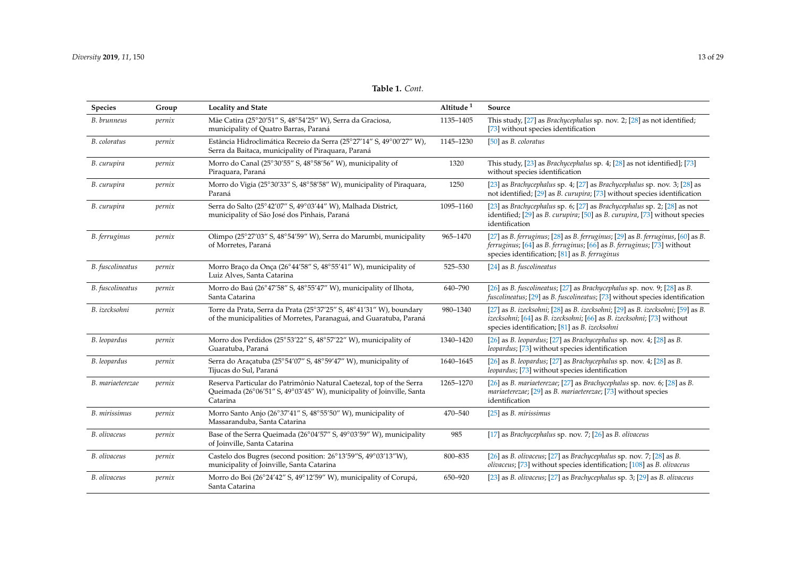| <b>Species</b>          | Group  | <b>Locality and State</b>                                                                                                                                | Altitude <sup>1</sup> | Source                                                                                                                                                                                                                  |
|-------------------------|--------|----------------------------------------------------------------------------------------------------------------------------------------------------------|-----------------------|-------------------------------------------------------------------------------------------------------------------------------------------------------------------------------------------------------------------------|
| <b>B.</b> brunneus      | pernix | Mãe Catira (25°20'51" S, 48°54'25" W), Serra da Graciosa,<br>municipality of Quatro Barras, Paraná                                                       | 1135-1405             | This study, [27] as <i>Brachycephalus</i> sp. nov. 2; [28] as not identified;<br>[73] without species identification                                                                                                    |
| B. coloratus            | pernix | Estância Hidroclimática Recreio da Serra (25°27'14" S, 49°00'27" W),<br>Serra da Baitaca, municipality of Piraquara, Paraná                              | 1145-1230             | $[50]$ as B. coloratus                                                                                                                                                                                                  |
| B. curupira             | pernix | Morro do Canal (25°30'55" S, 48°58'56" W), municipality of<br>Piraquara, Paraná                                                                          | 1320                  | This study, [23] as <i>Brachycephalus</i> sp. 4; [28] as not identified]; [73]<br>without species identification                                                                                                        |
| B. curupira             | pernix | Morro do Vigia (25°30'33" S, 48°58'58" W), municipality of Piraquara,<br>Paraná                                                                          | 1250                  | [23] as Brachycephalus sp. 4; [27] as Brachycephalus sp. nov. 3; [28] as<br>not identified; [29] as <i>B. curupira</i> ; [73] without species identification                                                            |
| B. curupira             | pernix | Serra do Salto (25°42'07" S, 49°03'44" W), Malhada District,<br>municipality of São José dos Pinhais, Paraná                                             | 1095-1160             | [23] as Brachycephalus sp. 6; [27] as Brachycephalus sp. 2; [28] as not<br>identified; [29] as <i>B. curupira</i> ; [50] as <i>B. curupira</i> , [73] without species<br>identification                                 |
| B. ferruginus           | pernix | Olimpo (25°27'03" S, 48°54'59" W), Serra do Marumbi, municipality<br>of Morretes, Paraná                                                                 | 965-1470              | [27] as B. ferruginus; [28] as B. ferruginus; [29] as B. ferruginus, [60] as B.<br>ferruginus; [64] as B. ferruginus; [66] as B. ferruginus; [73] without<br>species identification; [81] as <i>B. ferruginus</i>       |
| <b>B.</b> fuscolineatus | pernix | Morro Braço da Onça (26°44'58" S, 48°55'41" W), municipality of<br>Luiz Alves, Santa Catarina                                                            | 525-530               | [ $24$ ] as <i>B. fuscolineatus</i>                                                                                                                                                                                     |
| B. fuscolineatus        | pernix | Morro do Baú (26°47'58" S, 48°55'47" W), municipality of Ilhota,<br>Santa Catarina                                                                       | 640-790               | [26] as B. fuscolineatus; [27] as Brachycephalus sp. nov. 9; [28] as B.<br>fuscolineatus; [29] as B. fuscolineatus; [73] without species identification                                                                 |
| B. izecksohni           | pernix | Torre da Prata, Serra da Prata (25°37'25" S, 48°41'31" W), boundary<br>of the municipalities of Morretes, Paranaguá, and Guaratuba, Paraná               | 980-1340              | [27] as B. izecksohni; $[28]$ as B. izecksohni; $[29]$ as B. izecksohni; $[59]$ as B.<br>izecksohni; [64] as B. izecksohni; [66] as B. izecksohni; [73] without<br>species identification; [81] as <i>B. izecksohni</i> |
| B. leopardus            | pernix | Morro dos Perdidos (25°53'22" S, 48°57'22" W), municipality of<br>Guaratuba, Paraná                                                                      | 1340-1420             | [26] as B. leopardus; [27] as Brachycephalus sp. nov. 4; [28] as B.<br>leopardus; [73] without species identification                                                                                                   |
| B. leopardus            | pernix | Serra do Araçatuba (25°54'07" S, 48°59'47" W), municipality of<br>Tijucas do Sul, Paraná                                                                 | 1640-1645             | [26] as B. leopardus; [27] as Brachycephalus sp. nov. 4; [28] as B.<br>leopardus; [73] without species identification                                                                                                   |
| B. mariaeterezae        | pernix | Reserva Particular do Patrimônio Natural Caetezal, top of the Serra<br>Queimada (26°06'51" S, 49°03'45" W), municipality of Joinville, Santa<br>Catarina | 1265-1270             | [26] as B. mariaeterezae; [27] as Brachycephalus sp. nov. 6; [28] as B.<br>mariaeterezae; [29] as B. mariaeterezae; [73] without species<br>identification                                                              |
| B. mirissimus           | pernix | Morro Santo Anjo (26°37'41" S, 48°55'50" W), municipality of<br>Massaranduba, Santa Catarina                                                             | 470-540               | [ $25$ ] as <i>B. mirissimus</i>                                                                                                                                                                                        |
| B. olivaceus            | pernix | Base of the Serra Queimada (26°04'57" S, 49°03'59" W), municipality<br>of Joinville, Santa Catarina                                                      | 985                   | [17] as <i>Brachycephalus</i> sp. nov. 7; [26] as <i>B. olivaceus</i>                                                                                                                                                   |
| B. olivaceus            | pernix | Castelo dos Bugres (second position: 26°13'59"S, 49°03'13"W),<br>municipality of Joinville, Santa Catarina                                               | 800-835               | [26] as B. olivaceus; [27] as Brachycephalus sp. nov. 7; [28] as B.<br>olivaceus; [73] without species identification; [108] as B. olivaceus                                                                            |
| B. olivaceus            | pernix | Morro do Boi (26°24'42" S, 49°12'59" W), municipality of Corupá,<br>Santa Catarina                                                                       | 650-920               | [23] as B. olivaceus; $[27]$ as Brachycephalus sp. 3; $[29]$ as B. olivaceus                                                                                                                                            |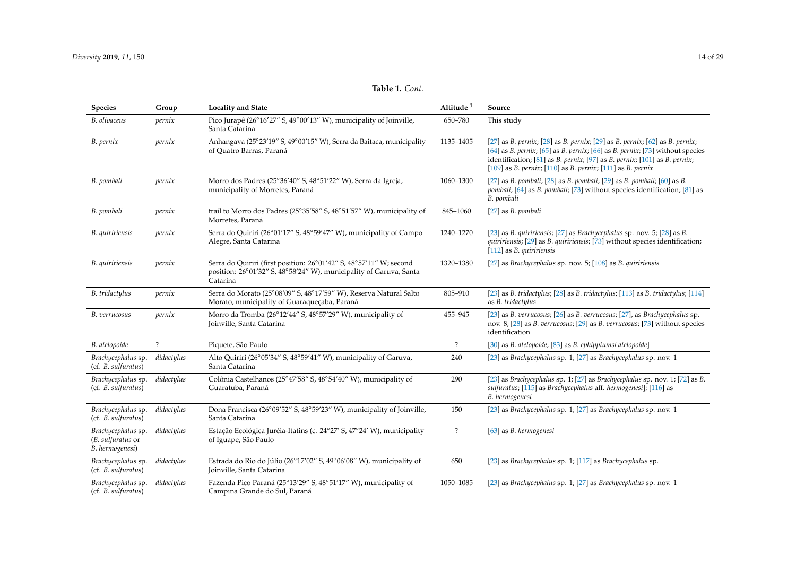| Table 1. Cont. |  |
|----------------|--|
|----------------|--|

| <b>Species</b>                                             | Group              | <b>Locality and State</b>                                                                                                                            | Altitude <sup>1</sup> | Source                                                                                                                                                                                                                                                                                                                                                       |
|------------------------------------------------------------|--------------------|------------------------------------------------------------------------------------------------------------------------------------------------------|-----------------------|--------------------------------------------------------------------------------------------------------------------------------------------------------------------------------------------------------------------------------------------------------------------------------------------------------------------------------------------------------------|
| B. olivaceus                                               | pernix             | Pico Jurapê (26°16'27" S, 49°00'13" W), municipality of Joinville,<br>Santa Catarina                                                                 | 650-780               | This study                                                                                                                                                                                                                                                                                                                                                   |
| B. pernix                                                  | pernix             | Anhangava (25°23'19" S, 49°00'15" W), Serra da Baitaca, municipality<br>of Quatro Barras, Paraná                                                     | 1135-1405             | [27] as B. pernix; $[28]$ as B. pernix; $[29]$ as B. pernix; $[62]$ as B. pernix;<br>[64] as B. pernix; [65] as B. pernix; [66] as B. pernix; [73] without species<br>identification; [81] as <i>B. pernix</i> ; [97] as <i>B. pernix</i> ; [101] as <i>B. pernix</i> ;<br>[109] as <i>B. pernix</i> ; [110] as <i>B. pernix</i> ; [111] as <i>B. pernix</i> |
| B. pombali                                                 | pernix             | Morro dos Padres (25°36'40" S, 48°51'22" W), Serra da Igreja,<br>municipality of Morretes, Paraná                                                    | 1060-1300             | $[27]$ as B. pombali; $[28]$ as B. pombali; $[29]$ as B. pombali; $[60]$ as B.<br>pombali; [64] as B. pombali; [73] without species identification; [81] as<br>B. pombali                                                                                                                                                                                    |
| B. pombali                                                 | pernix             | trail to Morro dos Padres (25°35'58" S, 48°51'57" W), municipality of<br>Morretes, Paraná                                                            | 845-1060              | $[27]$ as B. pombali                                                                                                                                                                                                                                                                                                                                         |
| B. quiririensis                                            | pernix             | Serra do Quiriri (26°01'17" S, 48°59'47" W), municipality of Campo<br>Alegre, Santa Catarina                                                         | 1240-1270             | [23] as B. quiririensis; [27] as Brachycephalus sp. nov. 5; [28] as B.<br>quiririensis; [29] as B. quiririensis; [73] without species identification;<br>[112] as $B.$ quiririensis                                                                                                                                                                          |
| B. quiririensis                                            | pernix             | Serra do Quiriri (first position: 26°01'42" S, 48°57'11" W; second<br>position: 26°01'32" S, 48°58'24" W), municipality of Garuva, Santa<br>Catarina | 1320-1380             | [27] as Brachycephalus sp. nov. 5; [108] as B. quiririensis                                                                                                                                                                                                                                                                                                  |
| B. tridactylus                                             | pernix             | Serra do Morato (25°08'09" S, 48°17'59" W), Reserva Natural Salto<br>Morato, municipality of Guaraqueçaba, Paraná                                    | 805-910               | [23] as B. tridactylus; [28] as B. tridactylus; [113] as B. tridactylus; [114]<br>as B. tridactylus                                                                                                                                                                                                                                                          |
| B. verrucosus                                              | pernix             | Morro da Tromba (26°12'44" S, 48°57'29" W), municipality of<br>Joinville, Santa Catarina                                                             | 455-945               | [23] as B. verrucosus; [26] as B. verrucosus; [27], as Brachycephalus sp.<br>nov. 8; [28] as <i>B. verrucosus</i> ; [29] as <i>B. verrucosus</i> ; [73] without species<br>identification                                                                                                                                                                    |
| B. atelopoide                                              | $\overline{\cdot}$ | Piquete, São Paulo                                                                                                                                   | $\ddot{?}$            | [30] as B. atelopoide; [83] as B. ephippiumsi atelopoide]                                                                                                                                                                                                                                                                                                    |
| Brachycephalus sp.<br>(cf. B. sulfuratus)                  | didactylus         | Alto Quiriri (26°05'34" S, 48°59'41" W), municipality of Garuva,<br>Santa Catarina                                                                   | 240                   | [23] as Brachycephalus sp. 1; [27] as Brachycephalus sp. nov. 1                                                                                                                                                                                                                                                                                              |
| Brachycephalus sp.<br>(cf. B. sulfuratus)                  | didactylus         | Colônia Castelhanos (25°47'58" S, 48°54'40" W), municipality of<br>Guaratuba, Paraná                                                                 | 290                   | [23] as Brachycephalus sp. 1; [27] as Brachycephalus sp. nov. 1; [72] as B.<br>sulfuratus; [115] as Brachycephalus aff. hermogenesi]; [116] as<br>B. hermogenesi                                                                                                                                                                                             |
| Brachycephalus sp.<br>(cf. B. sulfuratus)                  | didactylus         | Dona Francisca (26°09'52" S, 48°59'23" W), municipality of Joinville,<br>Santa Catarina                                                              | 150                   | [23] as Brachycephalus sp. 1; [27] as Brachycephalus sp. nov. 1                                                                                                                                                                                                                                                                                              |
| Brachycephalus sp.<br>(B. sulfuratus or<br>B. hermogenesi) | didactylus         | Estação Ecológica Juréia-Itatins (c. 24°27' S, 47°24' W), municipality<br>of Iguape, São Paulo                                                       | $\ddot{?}$            | [63] as B. hermogenesi                                                                                                                                                                                                                                                                                                                                       |
| Brachycephalus sp.<br>(cf. B. sulfuratus)                  | didactylus         | Estrada do Rio do Júlio (26°17'02" S, 49°06'08" W), municipality of<br>Joinville, Santa Catarina                                                     | 650                   | [23] as Brachycephalus sp. 1; [117] as Brachycephalus sp.                                                                                                                                                                                                                                                                                                    |
| Brachycephalus sp.<br>(cf. B. sulfuratus)                  | didactylus         | Fazenda Pico Paraná (25°13'29" S, 48°51'17" W), municipality of<br>Campina Grande do Sul, Paraná                                                     | 1050-1085             | [23] as Brachycephalus sp. 1; [27] as Brachycephalus sp. nov. 1                                                                                                                                                                                                                                                                                              |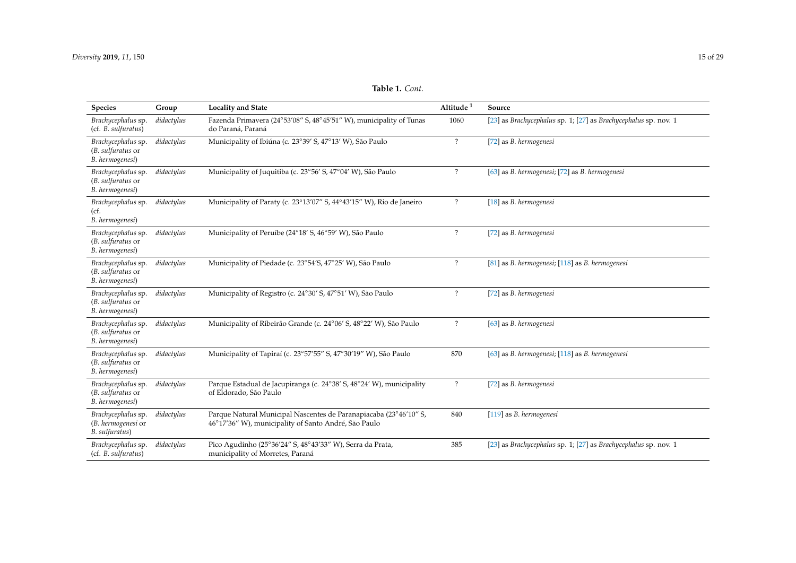| Table 1. Cont. |  |
|----------------|--|
|----------------|--|

| <b>Species</b>                                             | Group      | <b>Locality and State</b>                                                                                                 | Altitude $^{\rm 1}$ | Source                                                          |
|------------------------------------------------------------|------------|---------------------------------------------------------------------------------------------------------------------------|---------------------|-----------------------------------------------------------------|
| Brachycephalus sp.<br>(cf. B. sulfuratus)                  | didactylus | Fazenda Primavera (24°53'08" S, 48°45'51" W), municipality of Tunas<br>do Paraná, Paraná                                  | 1060                | [23] as Brachycephalus sp. 1; [27] as Brachycephalus sp. nov. 1 |
| Brachycephalus sp.<br>(B. sulfuratus or<br>B. hermogenesi) | didactylus | Municipality of Ibiúna (c. 23°39' S, 47°13' W), São Paulo                                                                 | $\ddot{?}$          | [72] as B. hermogenesi                                          |
| Brachycephalus sp.<br>(B. sulfuratus or<br>B. hermogenesi) | didactylus | Municipality of Juquitiba (c. 23°56' S, 47°04' W), São Paulo                                                              | $\ddot{\cdot}$      | [63] as B. hermogenesi; [72] as B. hermogenesi                  |
| Brachycephalus sp.<br>(cf.<br>B. hermogenesi)              | didactylus | Municipality of Paraty (c. 23°13'07" S, 44°43'15" W), Rio de Janeiro                                                      | $\ddot{?}$          | [18] as $B.$ hermogenesi                                        |
| Brachycephalus sp.<br>(B. sulfuratus or<br>B. hermogenesi) | didactylus | Municipality of Peruíbe (24°18' S, 46°59' W), São Paulo                                                                   | $\ddot{?}$          | [72] as B. hermogenesi                                          |
| Brachycephalus sp.<br>(B. sulfuratus or<br>B. hermogenesi) | didactylus | Municipality of Piedade (c. 23°54'S, 47°25' W), São Paulo                                                                 | $\ddot{?}$          | [81] as B. hermogenesi; [118] as B. hermogenesi                 |
| Brachycephalus sp.<br>(B. sulfuratus or<br>B. hermogenesi) | didactylus | Municipality of Registro (c. 24°30' S, 47°51' W), São Paulo                                                               | $\ddot{?}$          | [72] as B. hermogenesi                                          |
| Brachycephalus sp.<br>(B. sulfuratus or<br>B. hermogenesi) | didactylus | Municipality of Ribeirão Grande (c. 24°06' S, 48°22' W), São Paulo                                                        | $\ddot{?}$          | [63] as B. hermogenesi                                          |
| Brachycephalus sp.<br>(B. sulfuratus or<br>B. hermogenesi) | didactylus | Municipality of Tapiraí (c. 23°57'55" S, 47°30'19" W), São Paulo                                                          | 870                 | [63] as B. hermogenesi; [118] as B. hermogenesi                 |
| Brachycephalus sp.<br>(B. sulfuratus or<br>B. hermogenesi) | didactylus | Parque Estadual de Jacupiranga (c. 24°38' S, 48°24' W), municipality<br>of Eldorado, São Paulo                            | $\ddot{?}$          | [72] as B. hermogenesi                                          |
| Brachycephalus sp.<br>(B. hermogenesi or<br>B. sulfuratus) | didactylus | Parque Natural Municipal Nascentes de Paranapiacaba (23°46'10" S,<br>46°17'36" W), municipality of Santo André, São Paulo | 840                 | [119] as B. hermogenesi                                         |
| Brachycephalus sp.<br>(cf. B. sulfuratus)                  | didactylus | Pico Agudinho (25°36'24" S, 48°43'33" W), Serra da Prata,<br>municipality of Morretes, Paraná                             | 385                 | [23] as Brachycephalus sp. 1; [27] as Brachycephalus sp. nov. 1 |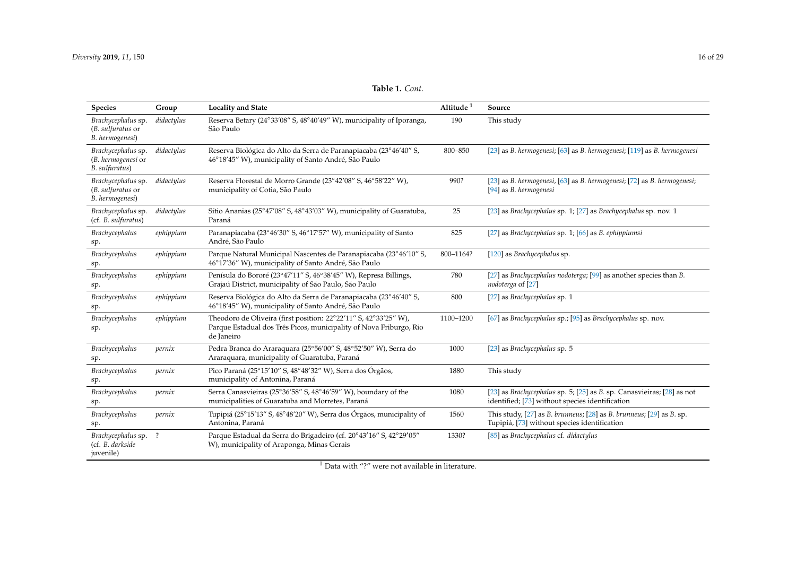| Table 1. Cont. |  |
|----------------|--|
|----------------|--|

<span id="page-15-1"></span><span id="page-15-0"></span>

| <b>Species</b>                                                     | Group      | <b>Locality and State</b>                                                                                                                            | Altitude <sup>1</sup> | Source                                                                                                                                            |  |  |  |  |
|--------------------------------------------------------------------|------------|------------------------------------------------------------------------------------------------------------------------------------------------------|-----------------------|---------------------------------------------------------------------------------------------------------------------------------------------------|--|--|--|--|
| Brachycephalus sp.<br>(B. sulfuratus or<br>B. hermogenesi)         | didactylus | Reserva Betary (24°33'08" S, 48°40'49" W), municipality of Iporanga,<br>São Paulo                                                                    | 190                   | This study                                                                                                                                        |  |  |  |  |
| Brachycephalus sp.<br>(B. hermogenesi or<br>B. sulfuratus)         | didactylus | Reserva Biológica do Alto da Serra de Paranapiacaba (23°46'40" S,<br>46°18'45" W), municipality of Santo André, São Paulo                            | 800-850               | [23] as B. hermogenesi; $[63]$ as B. hermogenesi; $[119]$ as B. hermogenesi                                                                       |  |  |  |  |
| Brachycephalus sp.<br>( <i>B. sulfuratus</i> or<br>B. hermogenesi) | didactylus | Reserva Florestal de Morro Grande (23°42'08" S, 46°58'22" W),<br>municipality of Cotia, São Paulo                                                    | 990?                  | [23] as B. hermogenesi, [63] as B. hermogenesi; [72] as B. hermogenesi;<br>[94] as $B.$ hermogenesi                                               |  |  |  |  |
| Brachycephalus sp.<br>(cf. B. sulfuratus)                          | didactylus | Sítio Ananias (25°47'08" S, 48°43'03" W), municipality of Guaratuba,<br>Paraná                                                                       | 25                    | [23] as Brachycephalus sp. 1; [27] as Brachycephalus sp. nov. 1                                                                                   |  |  |  |  |
| Brachycephalus<br>sp.                                              | ephippium  | Paranapiacaba (23°46'30" S, 46°17'57" W), municipality of Santo<br>André, São Paulo                                                                  | 825                   | [27] as Brachycephalus sp. 1; $[66]$ as B. ephippiumsi                                                                                            |  |  |  |  |
| Brachycephalus<br>sp.                                              | ephippium  | Parque Natural Municipal Nascentes de Paranapiacaba (23°46'10" S,<br>46°17'36" W), municipality of Santo André, São Paulo                            | 800-1164?             | [120] as <i>Brachycephalus</i> sp.                                                                                                                |  |  |  |  |
| Brachycephalus<br>sp.                                              | ephippium  | Penísula do Bororé (23°47'11" S, 46°38'45" W), Represa Billings,<br>Grajaú District, municipality of São Paulo, São Paulo                            | 780                   | [27] as Brachycephalus nodoterga; [99] as another species than B.<br>nodoterga of [27]                                                            |  |  |  |  |
| Brachycephalus<br>sp.                                              | ephippium  | Reserva Biológica do Alto da Serra de Paranapiacaba (23°46'40" S,<br>46°18'45" W), municipality of Santo André, São Paulo                            | 800                   | [27] as Brachycephalus sp. 1                                                                                                                      |  |  |  |  |
| Brachycephalus<br>sp.                                              | ephippium  | Theodoro de Oliveira (first position: 22°22'11" S, 42°33'25" W),<br>Parque Estadual dos Três Picos, municipality of Nova Friburgo, Rio<br>de Janeiro | 1100-1200             | [67] as Brachycephalus sp.; [95] as Brachycephalus sp. nov.                                                                                       |  |  |  |  |
| Brachycephalus<br>sp.                                              | pernix     | Pedra Branca do Araraquara (25°56'00" S, 48°52'50" W), Serra do<br>Araraquara, municipality of Guaratuba, Paraná                                     | 1000                  | [23] as Brachycephalus sp. 5                                                                                                                      |  |  |  |  |
| Brachycephalus<br>sp.                                              | pernix     | Pico Paraná (25°15'10" S, 48°48'32" W), Serra dos Órgãos,<br>municipality of Antonina, Paraná                                                        | 1880                  | This study                                                                                                                                        |  |  |  |  |
| Brachycephalus<br>sp.                                              | pernix     | Serra Canasvieiras (25°36'58" S, 48°46'59" W), boundary of the<br>municipalities of Guaratuba and Morretes, Paraná                                   | 1080                  | [23] as Brachycephalus sp. 5; [25] as B. sp. Canasvieiras; [28] as not<br>identified; [73] without species identification                         |  |  |  |  |
| Brachycephalus<br>sp.                                              | pernix     | Tupipiá (25°15'13" S, 48°48'20" W), Serra dos Órgãos, municipality of<br>Antonina, Paraná                                                            | 1560                  | This study, $[27]$ as <i>B. brunneus</i> ; $[28]$ as <i>B. brunneus</i> ; $[29]$ as <i>B.</i> sp.<br>Tupipiá, [73] without species identification |  |  |  |  |
| Brachycephalus sp. ?<br>(cf. B. darkside<br>juvenile)              |            | Parque Estadual da Serra do Brigadeiro (cf. 20°43'16" S, 42°29'05"<br>W), municipality of Araponga, Minas Gerais                                     | 1330?                 | [ $85$ ] as Brachycephalus cf. didactylus                                                                                                         |  |  |  |  |

<sup>1</sup> Data with "?" were not available in literature.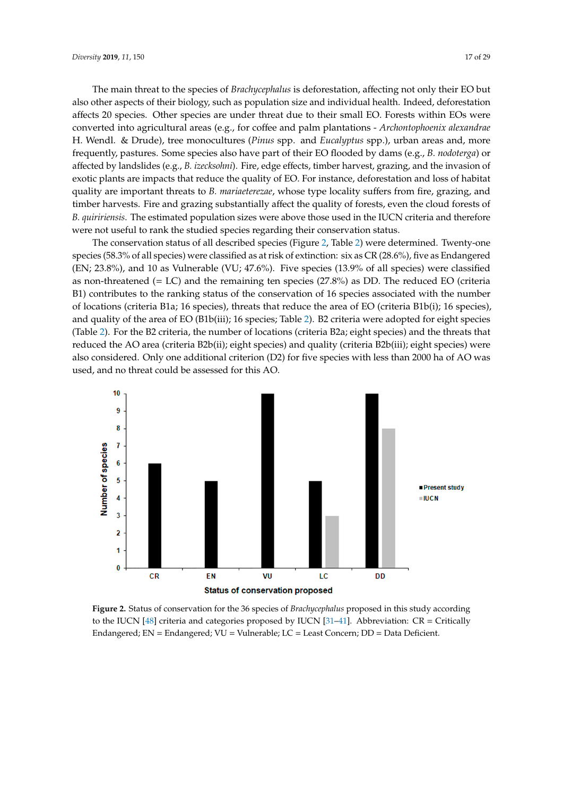The main threat to the species of *Brachycephalus* is deforestation, affecting not only their EO but also other aspects of their biology, such as population size and individual health. Indeed, deforestation affects 20 species. Other species are under threat due to their small EO. Forests within EOs were converted into agricultural areas (e.g., for coffee and palm plantations - *Archontophoenix alexandrae* H. Wendl. & Drude), tree monocultures (*Pinus* spp. and *Eucalyptus* spp.), urban areas and, more frequently, pastures. Some species also have part of their EO flooded by dams (e.g., *B. nodoterga*) or affected by landslides (e.g., *B. izecksohni*). Fire, edge effects, timber harvest, grazing, and the invasion of exotic plants are impacts that reduce the quality of EO. For instance, deforestation and loss of habitat quality are important threats to *B. mariaeterezae*, whose type locality suffers from fire, grazing, and timber harvests. Fire and grazing substantially affect the quality of forests, even the cloud forests of *B. quiririensis. The estimated population sizes were above those used in the IUCN criteria and therefore* were not useful to rank the studied species regarding their conservation status.

The conservation status of all described species (Figure 2, Table 2) were determined. Twenty-one The conservation status of all described species (Figu[re](#page-16-0) 2, Ta[ble](#page-18-0) 2) were determined. Twentyspecies (58.3% of all species) were classified as at risk of extinction: six as CR (28.6%), five as Endangered (EN; 23.8%), and 10 as Vulnerable (VU; 47.6%). Five species (13.9% of all species) were classified as non-threatened  $(= LC)$  and the remaining ten species  $(27.8%)$  as DD. The reduced EO (criteria B1) contributes to the ranking status of the conservation of 16 species associated with the number of locations (criteria B1a; 16 species), threats that reduce the area of EO (criteria B1b(i); 16 species), and quality of the area of EO (B1b(iii); 16 speci[es;](#page-18-0) Table 2). B2 criteria were adopted for eight species (Table 2). For the B2 criteria, the number of location[s](#page-18-0) (criteria B2a; eight species) and the threats that reduced the AO area (criteria B2b(ii); eight species) and quality (criteria B2b(iii); eight species) were also considered. Only one additional criterion (D2) for five species with less than 2000 ha of AO was used, and no threat could be assessed for this AO.

<span id="page-16-0"></span>

Figure 2. Status of conservation for the 36 species of *Brachycephalus* proposed in this study according to the IUCN [\[48\]](#page-24-4) criteria and categories proposed by IUCN [\[31–](#page-23-8)[41\]](#page-23-9). Abbreviation:  $CR = Critically$ Endangered; EN = Endangered; VU = Vulnerable; LC = Least Concern; DD = Data Deficient. Endangered; EN = Endangered; VU = Vulnerable; LC = Least Concern; DD = Data Deficient.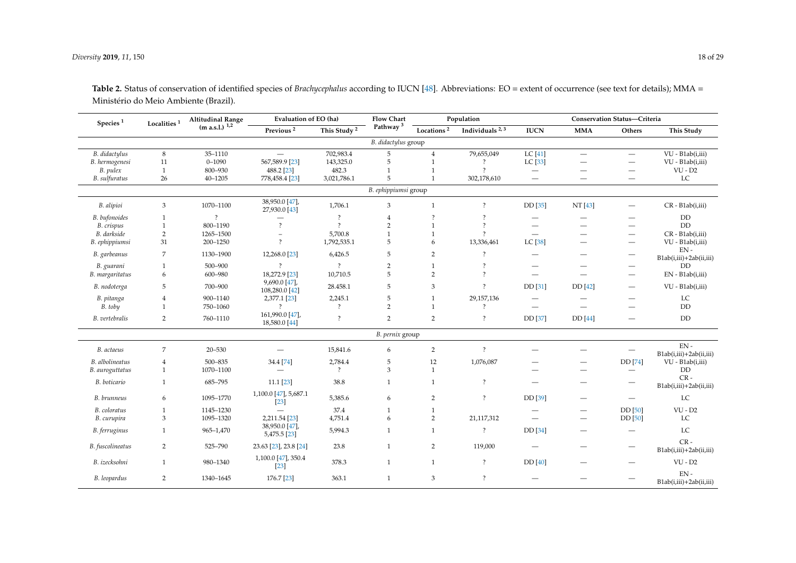| Species <sup>1</sup>    | Localities <sup>1</sup>        | <b>Altitudinal Range</b><br>(m a.s.l.) $^{1,2}$ | Evaluation of EO (ha)            |                          | <b>Flow Chart</b>    | Population             |                            | Conservation Status-Criteria |                          |                                     |                                   |
|-------------------------|--------------------------------|-------------------------------------------------|----------------------------------|--------------------------|----------------------|------------------------|----------------------------|------------------------------|--------------------------|-------------------------------------|-----------------------------------|
|                         |                                |                                                 | Previous <sup>2</sup>            | This Study <sup>2</sup>  | Pathway <sup>3</sup> | Locations <sup>2</sup> | Individuals <sup>2,3</sup> | <b>IUCN</b>                  | <b>MMA</b>               | Others                              | This Study                        |
|                         |                                |                                                 |                                  |                          | B. didactylus group  |                        |                            |                              |                          |                                     |                                   |
| B. didactylus           | 8                              | 35-1110                                         | $\equiv$                         | 702,983.4                | 5                    | $\overline{4}$         | 79,655,049                 | LC[41]                       | $\overline{\phantom{0}}$ | $\qquad \qquad -$                   | VU - B1ab(i,iii)                  |
| B. hermogenesi          | 11                             | $0 - 1090$                                      | 567,589.9 [23]                   | 143,325.0                | 5                    | $\overline{1}$         | ?                          | LC [33]                      |                          | $\overline{\phantom{0}}$            | VU - B1ab(i,iii)                  |
| B. pulex                | $\mathbf{1}$                   | 800-930                                         | 488.2 [23]                       | 482.3                    | $\mathbf{1}$         | $\mathbf{1}$           | $\overline{\phantom{a}}$   | $\hspace{0.05cm}$            |                          |                                     | $VU - D2$                         |
| <b>B.</b> sulfuratus    | 26                             | $40 - 1205$                                     | 778,458.4 [23]                   | 3,021,786.1              | 5                    | $\overline{1}$         | 302,178,610                | $\qquad \qquad -$            | $\overline{\phantom{0}}$ |                                     | LC                                |
|                         |                                |                                                 |                                  |                          | B. ephippiumsi group |                        |                            |                              |                          |                                     |                                   |
| B. alipioi              | 3                              | 1070-1100                                       | 38,950.0 [47],<br>27,930.0 [43]  | 1,706.1                  | 3                    | <sup>1</sup>           | $\overline{?}$             | DD [35]                      | NT [43]                  | $\overline{\phantom{0}}$            | $CR - B1ab(i,iii)$                |
| B. bufonoides           | 1                              | $\overline{?}$                                  |                                  |                          | $\overline{4}$       | $\overline{\cdot}$     |                            |                              |                          |                                     | DD                                |
| B. crispus              | $\mathbf{1}$                   | 800-1190                                        | $\overline{\cdot}$               | $\overline{\phantom{a}}$ | $\overline{2}$       | $\mathbf{1}$           | $\overline{\phantom{a}}$   | $\overline{\phantom{0}}$     |                          | $\overline{\phantom{0}}$            | <b>DD</b>                         |
| B. darkside             | $\overline{2}$                 | 1265-1500                                       | $\overline{\phantom{0}}$         | 5,700.8                  | $\mathbf{1}$         | $\mathbf{1}$           | $\overline{\phantom{a}}$   | $\equiv$                     |                          | $\overline{\phantom{0}}$            | CR - B1ab(i,iii)                  |
| B. ephippiumsi          | 31                             | 200-1250                                        | $\overline{\cdot}$               | 1,792,535.1              | 5                    | 6                      | 13,336,461                 | LC [38]                      |                          | $\overline{\phantom{m}}$            | VU - B1ab(i,iii)                  |
| B. garbeanus            | 7                              | 1130-1900                                       | 12,268.0 [23]                    | 6,426.5                  | 5                    | 2                      | $\overline{\mathcal{L}}$   | ÷.                           |                          | $\overline{\phantom{m}}$            | $EN -$<br>B1ab(i,iii)+2ab(ii,iii) |
| B. guarani              | $\mathbf{1}$                   | 500-900                                         | $\overline{\mathcal{E}}$         | $\overline{\phantom{a}}$ | $\sqrt{2}$           | $\mathbf{1}$           | $\overline{\phantom{a}}$   | $\overline{\phantom{0}}$     |                          |                                     | DD                                |
| B. margaritatus         | 6                              | 600-980                                         | 18,272.9 [23]                    | 10,710.5                 | 5                    | $\overline{2}$         | $\overline{\phantom{a}}$   |                              |                          | $\overline{\phantom{m}}$            | $EN - B1ab(i,iii)$                |
| B. nodoterga            | 5                              | 700-900                                         | 9,690.0 [47],<br>108,280.0 [42]  | 28.458.1                 | 5                    | 3                      | $\overline{?}$             | DD [31]                      | DD[42]                   | $\overline{\phantom{0}}$            | VU - B1ab(i,iii)                  |
| B. pitanga              | $\overline{4}$                 | 900-1140                                        | 2,377.1 [23]                     | 2,245.1                  | 5                    | 1                      | 29,157,136                 | $\overline{\phantom{0}}$     |                          |                                     | LC                                |
| B. toby                 | $\mathbf{1}$                   | 750-1060                                        | $\overline{?}$                   | $\overline{?}$           | $\overline{2}$       | $\overline{1}$         | $\overline{\phantom{a}}$   | $\overline{\phantom{0}}$     |                          |                                     | <b>DD</b>                         |
| B. vertebralis          | $\overline{2}$                 | 760-1110                                        | 161,990.0 [47],<br>18,580.0 [44] | $\overline{?}$           | 2                    | $\overline{2}$         | $\overline{?}$             | DD [37]                      | <b>DD</b> [44]           | $\overline{\phantom{m}}$            | DD                                |
|                         |                                |                                                 |                                  |                          | B. pernix group      |                        |                            |                              |                          |                                     |                                   |
| B. actaeus              | 7                              | $20 - 530$                                      | $\qquad \qquad -$                | 15,841.6                 | 6                    | $\overline{2}$         | $\overline{\cdot}$         |                              |                          |                                     | $EN -$                            |
| B. albolineatus         |                                | 500-835                                         | 34.4 [74]                        | 2,784.4                  | 5                    |                        | 1,076,087                  |                              |                          |                                     | B1ab(i,iii)+2ab(ii,iii)           |
| B. auroguttatus         | $\overline{4}$<br>$\mathbf{1}$ | 1070-1100                                       | $\overline{\phantom{0}}$         | $\overline{?}$           | 3                    | 12<br><sup>1</sup>     |                            |                              |                          | DD [74]<br>$\overline{\phantom{m}}$ | VU - B1ab(i,iii)<br>DD            |
|                         |                                |                                                 |                                  |                          |                      |                        |                            |                              |                          |                                     | $CR -$                            |
| B. boticario            | $\mathbf{1}$                   | 685-795                                         | 11.1 [23]                        | 38.8                     | $\mathbf{1}$         | 1                      | $\overline{?}$             |                              |                          | $\overline{\phantom{m}}$            | B1ab(i,iii)+2ab(ii,iii)           |
| B. brunneus             | 6                              | 1095-1770                                       | 1,100.0 [47], 5,687.1<br>$[23]$  | 5,385.6                  | 6                    | $\overline{2}$         | $\overline{?}$             | DD [39]                      |                          | $\hspace{0.05cm}$                   | LC                                |
| B. coloratus            | $\mathbf{1}$                   | 1145-1230                                       | $\overline{\phantom{0}}$         | 37.4                     | 1                    | 1                      |                            |                              |                          | DD[50]                              | $VU - D2$                         |
| B. curupira             | 3                              | 1095-1320                                       | 2,211.54 [23]                    | 4,751.4                  | 6                    | $\overline{2}$         | 21,117,312                 | $\qquad \qquad -$            |                          | DD[50]                              | LC                                |
| B. ferruginus           | 1                              | 965-1,470                                       | 38,950.0 [47],<br>5,475.5 [23]   | 5,994.3                  | $\mathbf{1}$         | 1                      | $\overline{?}$             | DD [34]                      |                          | $\overline{\phantom{m}}$            | LC                                |
| <b>B.</b> fuscolineatus | $\overline{2}$                 | 525-790                                         | 23.63 [23], 23.8 [24]            | 23.8                     | $\mathbf{1}$         | $\overline{2}$         | 119,000                    | $\overline{\phantom{a}}$     |                          |                                     | $CR -$<br>B1ab(i,iii)+2ab(ii,iii) |
| B. izecksohni           |                                |                                                 | 1,100.0 [47], 350.4              | 378.3                    |                      |                        |                            |                              |                          |                                     | $VU - D2$                         |
|                         | 1                              | 980-1340                                        | $[23]$                           |                          | $\mathbf{1}$         | 1                      | $\overline{?}$             | DD [40]                      |                          | $\overline{\phantom{0}}$            |                                   |
| B. leopardus            | $\overline{2}$                 | 1340-1645                                       | 176.7 [23]                       | 363.1                    | 1                    | 3                      | $\overline{?}$             | $\overline{\phantom{a}}$     |                          |                                     | $EN -$<br>B1ab(i,iii)+2ab(ii,iii) |

Table 2. Status of conservation of identified species of *Brachycephalus* according to IUCN [\[48\]](#page-24-16). Abbreviations: EO = extent of occurrence (see text for details); MMA = Ministério do Meio Ambiente (Brazil).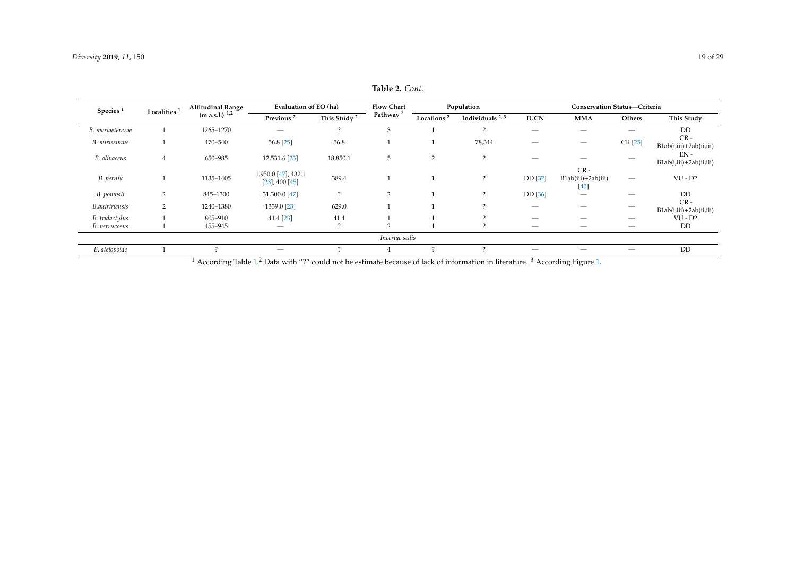| Species <sup>1</sup>  | Localities <sup>1</sup> | <b>Altitudinal Range</b><br>(m a.s.l.) $1,2$ | Evaluation of EO (ha)                      |                         | <b>Flow Chart</b>    | Population             |                   | Conservation Status-Criteria |                                        |         |                                   |
|-----------------------|-------------------------|----------------------------------------------|--------------------------------------------|-------------------------|----------------------|------------------------|-------------------|------------------------------|----------------------------------------|---------|-----------------------------------|
|                       |                         |                                              | Previous <sup>2</sup>                      | This Study <sup>2</sup> | Pathway <sup>3</sup> | Locations <sup>2</sup> | Individuals $2,3$ | <b>IUCN</b>                  | <b>MMA</b>                             | Others  | This Study                        |
| B. mariaeterezae      |                         | 1265-1270                                    |                                            | $\mathcal{D}$           | 3                    |                        | $\sim$            |                              |                                        |         | <b>DD</b>                         |
| B. mirissimus         |                         | 470-540                                      | 56.8 [25]                                  | 56.8                    |                      |                        | 78,344            |                              | —                                      | CR [25] | $CR -$<br>B1ab(i,iii)+2ab(ii,iii) |
| B. olivaceus          | 4                       | 650-985                                      | 12,531.6 [23]                              | 18,850.1                | 5                    | $\overline{2}$         | $\sim$            |                              |                                        |         | $EN -$<br>B1ab(i,iii)+2ab(ii,iii) |
| B. pernix             |                         | 1135-1405                                    | 1,950.0 [47], 432.1<br>$[23]$ , 400 $[45]$ | 389.4                   |                      |                        | $\mathcal{L}$     | DD [32]                      | $CR -$<br>B1ab(iii)+2ab(iii)<br>$[45]$ |         | VU - D2                           |
| B. pombali            | 2                       | 845-1300                                     | 31,300.0 [47]                              | $\mathcal{D}$           | $\overline{2}$       |                        | $\sim$            | DD [36]                      |                                        |         | <b>DD</b>                         |
| <b>B.quiririensis</b> | 2                       | 1240-1380                                    | 1339.0 [23]                                | 629.0                   |                      |                        |                   |                              |                                        | —       | $CR -$<br>B1ab(i,iii)+2ab(ii,iii) |
| B. tridactylus        |                         | 805-910                                      | 41.4 [23]                                  | 41.4                    |                      |                        |                   |                              |                                        |         | $VU - D2$                         |
| B. verrucosus         |                         | 455-945                                      | $\hspace{0.05cm}$                          | n                       |                      |                        |                   |                              |                                        |         | DD                                |
| Incertae sedis        |                         |                                              |                                            |                         |                      |                        |                   |                              |                                        |         |                                   |
| B. atelopoide         |                         |                                              |                                            | n                       | 4                    |                        |                   |                              |                                        |         | DD                                |

**Table 2.** *Cont.*

<span id="page-18-0"></span><sup>1</sup> According Table [1.](#page-3-1)<sup>2</sup> Data with "?" could not be estimate because of lack of information in literature. <sup>3</sup> According Figure 1.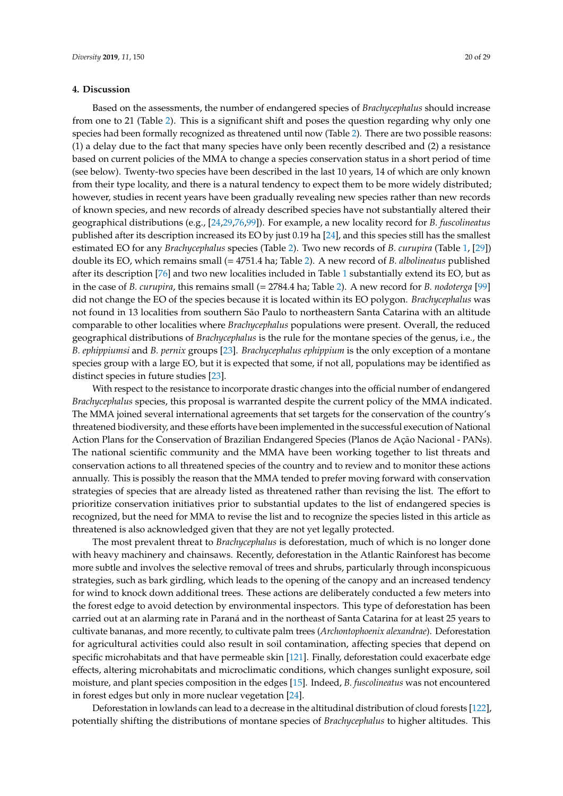#### **4. Discussion**

Based on the assessments, the number of endangered species of *Brachycephalus* should increase from one to 21 (Table [2\)](#page-18-0). This is a significant shift and poses the question regarding why only one species had been formally recognized as threatened until now (Table [2\)](#page-18-0). There are two possible reasons: (1) a delay due to the fact that many species have only been recently described and (2) a resistance based on current policies of the MMA to change a species conservation status in a short period of time (see below). Twenty-two species have been described in the last 10 years, 14 of which are only known from their type locality, and there is a natural tendency to expect them to be more widely distributed; however, studies in recent years have been gradually revealing new species rather than new records of known species, and new records of already described species have not substantially altered their geographical distributions (e.g., [\[24](#page-23-1)[,29](#page-23-6)[,76](#page-25-21)[,99\]](#page-26-20)). For example, a new locality record for *B. fuscolineatus* published after its description increased its EO by just 0.19 ha [\[24\]](#page-23-1), and this species still has the smallest estimated EO for any *Brachycephalus* species (Table [2\)](#page-18-0). Two new records of *B. curupira* (Table [1,](#page-15-0) [\[29\]](#page-23-6)) double its EO, which remains small (= 4751.4 ha; Table [2\)](#page-18-0). A new record of *B. albolineatus* published after its description [\[76\]](#page-25-21) and two new localities included in Table [1](#page-15-0) substantially extend its EO, but as in the case of *B. curupira*, this remains small (= 2784.4 ha; Table [2\)](#page-18-0). A new record for *B. nodoterga* [\[99\]](#page-26-20) did not change the EO of the species because it is located within its EO polygon. *Brachycephalus* was not found in 13 localities from southern São Paulo to northeastern Santa Catarina with an altitude comparable to other localities where *Brachycephalus* populations were present. Overall, the reduced geographical distributions of *Brachycephalus* is the rule for the montane species of the genus, i.e., the *B. ephippiumsi* and *B. pernix* groups [\[23\]](#page-23-0). *Brachycephalus ephippium* is the only exception of a montane species group with a large EO, but it is expected that some, if not all, populations may be identified as distinct species in future studies [\[23\]](#page-23-0).

With respect to the resistance to incorporate drastic changes into the official number of endangered *Brachycephalus* species, this proposal is warranted despite the current policy of the MMA indicated. The MMA joined several international agreements that set targets for the conservation of the country's threatened biodiversity, and these efforts have been implemented in the successful execution of National Action Plans for the Conservation of Brazilian Endangered Species (Planos de Ação Nacional - PANs). The national scientific community and the MMA have been working together to list threats and conservation actions to all threatened species of the country and to review and to monitor these actions annually. This is possibly the reason that the MMA tended to prefer moving forward with conservation strategies of species that are already listed as threatened rather than revising the list. The effort to prioritize conservation initiatives prior to substantial updates to the list of endangered species is recognized, but the need for MMA to revise the list and to recognize the species listed in this article as threatened is also acknowledged given that they are not yet legally protected.

The most prevalent threat to *Brachycephalus* is deforestation, much of which is no longer done with heavy machinery and chainsaws. Recently, deforestation in the Atlantic Rainforest has become more subtle and involves the selective removal of trees and shrubs, particularly through inconspicuous strategies, such as bark girdling, which leads to the opening of the canopy and an increased tendency for wind to knock down additional trees. These actions are deliberately conducted a few meters into the forest edge to avoid detection by environmental inspectors. This type of deforestation has been carried out at an alarming rate in Paraná and in the northeast of Santa Catarina for at least 25 years to cultivate bananas, and more recently, to cultivate palm trees (*Archontophoenix alexandrae*). Deforestation for agricultural activities could also result in soil contamination, affecting species that depend on specific microhabitats and that have permeable skin [\[121\]](#page-28-0). Finally, deforestation could exacerbate edge effects, altering microhabitats and microclimatic conditions, which changes sunlight exposure, soil moisture, and plant species composition in the edges [\[15\]](#page-22-13). Indeed, *B. fuscolineatus* was not encountered in forest edges but only in more nuclear vegetation [\[24\]](#page-23-1).

Deforestation in lowlands can lead to a decrease in the altitudinal distribution of cloud forests [\[122\]](#page-28-1), potentially shifting the distributions of montane species of *Brachycephalus* to higher altitudes. This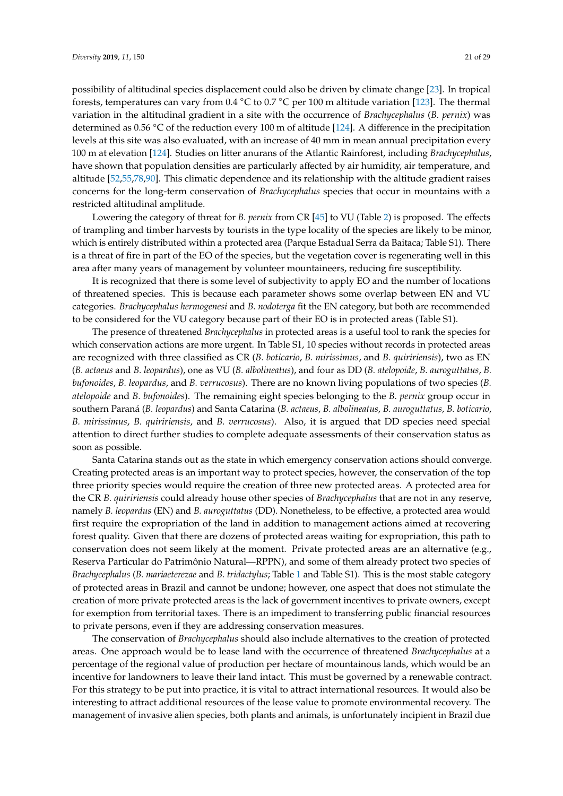possibility of altitudinal species displacement could also be driven by climate change [\[23\]](#page-23-0). In tropical forests, temperatures can vary from 0.4  $\degree$ C to 0.7  $\degree$ C per 100 m altitude variation [\[123\]](#page-28-2). The thermal variation in the altitudinal gradient in a site with the occurrence of *Brachycephalus* (*B. pernix*) was determined as 0.56 °C of the reduction every 100 m of altitude [\[124\]](#page-28-3). A difference in the precipitation levels at this site was also evaluated, with an increase of 40 mm in mean annual precipitation every 100 m at elevation [\[124\]](#page-28-3). Studies on litter anurans of the Atlantic Rainforest, including *Brachycephalus*, have shown that population densities are particularly affected by air humidity, air temperature, and altitude [\[52](#page-24-14)[,55](#page-24-22)[,78,](#page-25-22)[90\]](#page-26-21). This climatic dependence and its relationship with the altitude gradient raises concerns for the long-term conservation of *Brachycephalus* species that occur in mountains with a restricted altitudinal amplitude.

Lowering the category of threat for *B. pernix* from CR [\[45\]](#page-24-1) to VU (Table [2\)](#page-18-0) is proposed. The effects of trampling and timber harvests by tourists in the type locality of the species are likely to be minor, which is entirely distributed within a protected area (Parque Estadual Serra da Baitaca; Table S1). There is a threat of fire in part of the EO of the species, but the vegetation cover is regenerating well in this area after many years of management by volunteer mountaineers, reducing fire susceptibility.

It is recognized that there is some level of subjectivity to apply EO and the number of locations of threatened species. This is because each parameter shows some overlap between EN and VU categories. *Brachycephalus hermogenesi* and *B. nodoterga* fit the EN category, but both are recommended to be considered for the VU category because part of their EO is in protected areas (Table S1).

The presence of threatened *Brachycephalus* in protected areas is a useful tool to rank the species for which conservation actions are more urgent. In Table S1, 10 species without records in protected areas are recognized with three classified as CR (*B. boticario*, *B. mirissimus*, and *B. quiririensis*), two as EN (*B. actaeus* and *B. leopardus*), one as VU (*B. albolineatus*), and four as DD (*B. atelopoide*, *B. auroguttatus*, *B. bufonoides*, *B. leopardus*, and *B. verrucosus*). There are no known living populations of two species (*B. atelopoide* and *B. bufonoides*). The remaining eight species belonging to the *B. pernix* group occur in southern Paraná (*B. leopardus*) and Santa Catarina (*B. actaeus*, *B. albolineatus*, *B. auroguttatus*, *B. boticario*, *B. mirissimus*, *B. quiririensis*, and *B. verrucosus*). Also, it is argued that DD species need special attention to direct further studies to complete adequate assessments of their conservation status as soon as possible.

Santa Catarina stands out as the state in which emergency conservation actions should converge. Creating protected areas is an important way to protect species, however, the conservation of the top three priority species would require the creation of three new protected areas. A protected area for the CR *B. quiririensis* could already house other species of *Brachycephalus* that are not in any reserve, namely *B. leopardus* (EN) and *B. auroguttatus* (DD). Nonetheless, to be effective, a protected area would first require the expropriation of the land in addition to management actions aimed at recovering forest quality. Given that there are dozens of protected areas waiting for expropriation, this path to conservation does not seem likely at the moment. Private protected areas are an alternative (e.g., Reserva Particular do Patrimônio Natural—RPPN), and some of them already protect two species of *Brachycephalus* (*B. mariaeterezae* and *B. tridactylus*; Table [1](#page-15-0) and Table S1). This is the most stable category of protected areas in Brazil and cannot be undone; however, one aspect that does not stimulate the creation of more private protected areas is the lack of government incentives to private owners, except for exemption from territorial taxes. There is an impediment to transferring public financial resources to private persons, even if they are addressing conservation measures.

The conservation of *Brachycephalus* should also include alternatives to the creation of protected areas. One approach would be to lease land with the occurrence of threatened *Brachycephalus* at a percentage of the regional value of production per hectare of mountainous lands, which would be an incentive for landowners to leave their land intact. This must be governed by a renewable contract. For this strategy to be put into practice, it is vital to attract international resources. It would also be interesting to attract additional resources of the lease value to promote environmental recovery. The management of invasive alien species, both plants and animals, is unfortunately incipient in Brazil due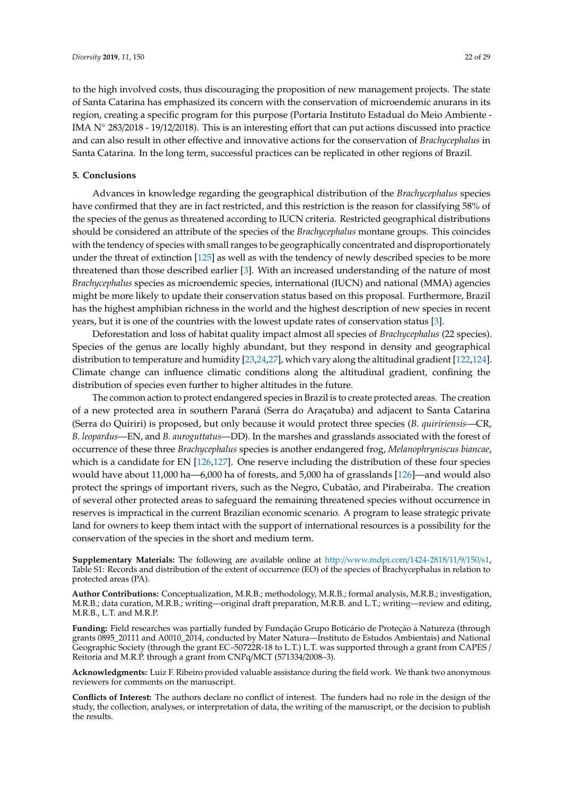to the high involved costs, thus discouraging the proposition of new management projects. The state of Santa Catarina has emphasized its concern with the conservation of microendemic anurans in its region, creating a specific program for this purpose (Portaria Instituto Estadual do Meio Ambiente - IMA N◦ 283/2018 - 19/12/2018). This is an interesting effort that can put actions discussed into practice and can also result in other effective and innovative actions for the conservation of *Brachycephalus* in Santa Catarina. In the long term, successful practices can be replicated in other regions of Brazil.

#### **5. Conclusions**

Advances in knowledge regarding the geographical distribution of the *Brachycephalus* species have confirmed that they are in fact restricted, and this restriction is the reason for classifying 58% of the species of the genus as threatened according to IUCN criteria. Restricted geographical distributions should be considered an attribute of the species of the *Brachycephalus* montane groups. This coincides with the tendency of species with small ranges to be geographically concentrated and disproportionately under the threat of extinction [\[125\]](#page-28-4) as well as with the tendency of newly described species to be more threatened than those described earlier [\[3\]](#page-22-2). With an increased understanding of the nature of most *Brachycephalus* species as microendemic species, international (IUCN) and national (MMA) agencies might be more likely to update their conservation status based on this proposal. Furthermore, Brazil has the highest amphibian richness in the world and the highest description of new species in recent years, but it is one of the countries with the lowest update rates of conservation status [\[3\]](#page-22-2).

Deforestation and loss of habitat quality impact almost all species of *Brachycephalus* (22 species). Species of the genus are locally highly abundant, but they respond in density and geographical distribution to temperature and humidity [\[23,](#page-23-0)[24,](#page-23-1)[27\]](#page-23-4), which vary along the altitudinal gradient [\[122](#page-28-1)[,124\]](#page-28-3). Climate change can influence climatic conditions along the altitudinal gradient, confining the distribution of species even further to higher altitudes in the future.

The common action to protect endangered species in Brazil is to create protected areas. The creation of a new protected area in southern Paraná (Serra do Araçatuba) and adjacent to Santa Catarina (Serra do Quiriri) is proposed, but only because it would protect three species (*B. quiririensis*—CR, *B. leopardus*—EN, and *B. auroguttatus*—DD). In the marshes and grasslands associated with the forest of occurrence of these three *Brachycephalus* species is another endangered frog, *Melanophryniscus biancae*, which is a candidate for EN [\[126](#page-28-5)[,127\]](#page-28-6). One reserve including the distribution of these four species would have about 11,000 ha—6,000 ha of forests, and 5,000 ha of grasslands [\[126\]](#page-28-5)—and would also protect the springs of important rivers, such as the Negro, Cubatão, and Pirabeiraba. The creation of several other protected areas to safeguard the remaining threatened species without occurrence in reserves is impractical in the current Brazilian economic scenario. A program to lease strategic private land for owners to keep them intact with the support of international resources is a possibility for the conservation of the species in the short and medium term.

**Supplementary Materials:** The following are available online at http://[www.mdpi.com](http://www.mdpi.com/1424-2818/11/9/150/s1)/1424-2818/11/9/150/s1, Table S1: Records and distribution of the extent of occurrence (EO) of the species of Brachycephalus in relation to protected areas (PA).

**Author Contributions:** Conceptualization, M.R.B.; methodology, M.R.B.; formal analysis, M.R.B.; investigation, M.R.B.; data curation, M.R.B.; writing—original draft preparation, M.R.B. and L.T.; writing—review and editing, M.R.B., L.T. and M.R.P.

**Funding:** Field researches was partially funded by Fundação Grupo Boticário de Proteção à Natureza (through grants 0895\_20111 and A0010\_2014, conducted by Mater Natura—Instituto de Estudos Ambientais) and National Geographic Society (through the grant EC–50722R-18 to L.T.) L.T. was supported through a grant from CAPES / Reitoria and M.R.P. through a grant from CNPq/MCT (571334/2008–3).

**Acknowledgments:** Luiz F. Ribeiro provided valuable assistance during the field work. We thank two anonymous reviewers for comments on the manuscript.

**Conflicts of Interest:** The authors declare no conflict of interest. The funders had no role in the design of the study, the collection, analyses, or interpretation of data, the writing of the manuscript, or the decision to publish the results.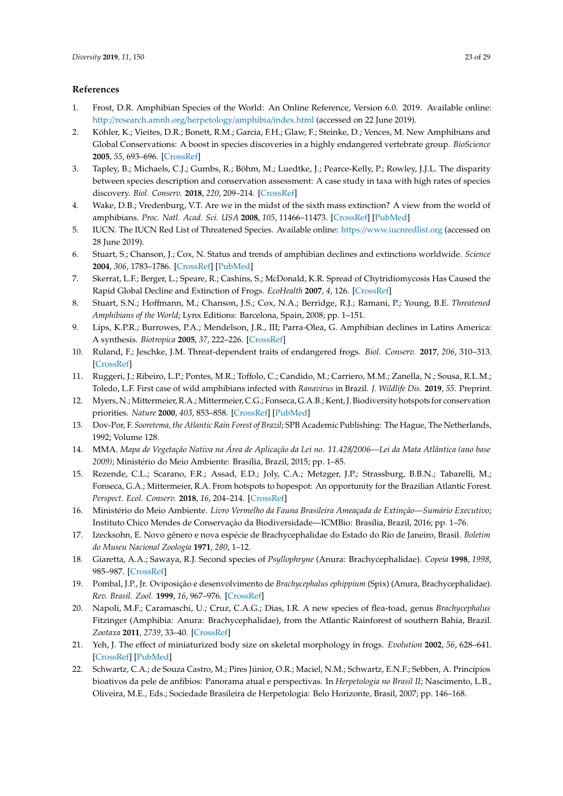#### **References**

- <span id="page-22-0"></span>1. Frost, D.R. Amphibian Species of the World: An Online Reference, Version 6.0. 2019. Available online: http://[research.amnh.org](http://research.amnh.org/herpetology/amphibia/index.html)/herpetology/amphibia/index.html (accessed on 22 June 2019).
- <span id="page-22-1"></span>2. Köhler, K.; Vieites, D.R.; Bonett, R.M.; Garcia, F.H.; Glaw, F.; Steinke, D.; Vences, M. New Amphibians and Global Conservations: A boost in species discoveries in a highly endangered vertebrate group. *BioScience* **2005**, *55*, 693–696. [\[CrossRef\]](http://dx.doi.org/10.1641/0006-3568(2005)055[0693:NAAGCA]2.0.CO;2)
- <span id="page-22-2"></span>3. Tapley, B.; Michaels, C.J.; Gumbs, R.; Böhm, M.; Luedtke, J.; Pearce-Kelly, P.; Rowley, J.J.L. The disparity between species description and conservation assessment: A case study in taxa with high rates of species discovery. *Biol. Conserv.* **2018**, *220*, 209–214. [\[CrossRef\]](http://dx.doi.org/10.1016/j.biocon.2018.01.022)
- <span id="page-22-3"></span>4. Wake, D.B.; Vredenburg, V.T. Are we in the midst of the sixth mass extinction? A view from the world of amphibians. *Proc. Natl. Acad. Sci. USA* **2008**, *105*, 11466–11473. [\[CrossRef\]](http://dx.doi.org/10.1073/pnas.0801921105) [\[PubMed\]](http://www.ncbi.nlm.nih.gov/pubmed/18695221)
- <span id="page-22-4"></span>5. IUCN. The IUCN Red List of Threatened Species. Available online: https://[www.iucnredlist.org](https://www.iucnredlist.org) (accessed on 28 June 2019).
- <span id="page-22-5"></span>6. Stuart, S.; Chanson, J.; Cox, N. Status and trends of amphibian declines and extinctions worldwide. *Science* **2004**, *306*, 1783–1786. [\[CrossRef\]](http://dx.doi.org/10.1126/science.1103538) [\[PubMed\]](http://www.ncbi.nlm.nih.gov/pubmed/15486254)
- <span id="page-22-7"></span>7. Skerrat, L.F.; Berger, L.; Speare, R.; Cashins, S.; McDonald, K.R. Spread of Chytridiomycosis Has Caused the Rapid Global Decline and Extinction of Frogs. *EcoHealth* **2007**, *4*, 126. [\[CrossRef\]](http://dx.doi.org/10.1007/s10393-007-0093-5)
- <span id="page-22-16"></span><span id="page-22-6"></span>8. Stuart, S.N.; Hoffmann, M.; Chanson, J.S.; Cox, N.A.; Berridge, R.J.; Ramani, P.; Young, B.E. *Threatened Amphibians of the World*; Lynx Editions: Barcelona, Spain, 2008; pp. 1–151.
- <span id="page-22-8"></span>9. Lips, K.P.R.; Burrowes, P.A.; Mendelson, J.R., III; Parra-Olea, G. Amphibian declines in Latins America: A synthesis. *Biotropica* **2005**, *37*, 222–226. [\[CrossRef\]](http://dx.doi.org/10.1111/j.1744-7429.2005.00029.x)
- <span id="page-22-18"></span>10. Ruland, F.; Jeschke, J.M. Threat-dependent traits of endangered frogs. *Biol. Conserv.* **2017**, *206*, 310–313. [\[CrossRef\]](http://dx.doi.org/10.1016/j.biocon.2016.11.027)
- <span id="page-22-17"></span><span id="page-22-9"></span>11. Ruggeri, J.; Ribeiro, L.P.; Pontes, M.R.; Toffolo, C.; Candido, M.; Carriero, M.M.; Zanella, N.; Sousa, R.L.M.; Toledo, L.F. First case of wild amphibians infected with *Ranavirus* in Brazil. *J. Wildlife Dis.* **2019**, *55*. Preprint.
- <span id="page-22-10"></span>12. Myers, N.; Mittermeier, R.A.; Mittermeier, C.G.; Fonseca, G.A.B.; Kent, J. Biodiversity hotspots for conservation priorities. *Nature* **2000**, *403*, 853–858. [\[CrossRef\]](http://dx.doi.org/10.1038/35002501) [\[PubMed\]](http://www.ncbi.nlm.nih.gov/pubmed/10706275)
- <span id="page-22-11"></span>13. Dov-Por, F. *Sooretema, the Atlantic Rain Forest of Brazil*; SPB Academic Publishing: The Hague, The Netherlands, 1992; Volume 128.
- <span id="page-22-12"></span>14. MMA. *Mapa de Vegetação Nativa na Área de Aplicação da Lei no. 11.428*/*2006—Lei da Mata Atlântica (ano base 2009)*; Ministério do Meio Ambiente: Brasília, Brazil, 2015; pp. 1–85.
- <span id="page-22-13"></span>15. Rezende, C.L.; Scarano, F.R.; Assad, E.D.; Joly, C.A.; Metzger, J.P.; Strassburg, B.B.N.; Tabarelli, M.; Fonseca, G.A.; Mittermeier, R.A. From hotspots to hopespot: An opportunity for the Brazilian Atlantic Forest. *Perspect. Ecol. Conserv.* **2018**, *16*, 204–214. [\[CrossRef\]](http://dx.doi.org/10.1016/j.pecon.2018.10.002)
- <span id="page-22-14"></span>16. Ministério do Meio Ambiente. *Livro Vermelho da Fauna Brasileira Ameaçada de Extinção—Sumário Executivo*; Instituto Chico Mendes de Conservação da Biodiversidade—ICMBio: Brasília, Brazil, 2016; pp. 1–76.
- <span id="page-22-15"></span>17. Izecksohn, E. Novo gênero e nova espécie de Brachycephalidae do Estado do Rio de Janeiro, Brasil. *Boletim do Museu Nacional Zoologia* **1971**, *280*, 1–12.
- 18. Giaretta, A.A.; Sawaya, R.J. Second species of *Psyllophryne* (Anura: Brachycephalidae). *Copeia* **1998**, *1998*, 985–987. [\[CrossRef\]](http://dx.doi.org/10.2307/1447345)
- 19. Pombal, J.P., Jr. Oviposição e desenvolvimento de *Brachycephalus ephippium* (Spix) (Anura, Brachycephalidae). *Rev. Brasil. Zool.* **1999**, *16*, 967–976. [\[CrossRef\]](http://dx.doi.org/10.1590/S0101-81751999000400004)
- 20. Napoli, M.F.; Caramaschi, U.; Cruz, C.A.G.; Dias, I.R. A new species of flea-toad, genus *Brachycephalus* Fitzinger (Amphibia: Anura: Brachycephalidae), from the Atlantic Rainforest of southern Bahia, Brazil. *Zootaxa* **2011**, *2739*, 33–40. [\[CrossRef\]](http://dx.doi.org/10.11646/zootaxa.2739.1.3)
- 21. Yeh, J. The effect of miniaturized body size on skeletal morphology in frogs. *Evolution* **2002**, *56*, 628–641. [\[CrossRef\]](http://dx.doi.org/10.1111/j.0014-3820.2002.tb01372.x) [\[PubMed\]](http://www.ncbi.nlm.nih.gov/pubmed/11989691)
- 22. Schwartz, C.A.; de Souza Castro, M.; Pires Júnior, O.R.; Maciel, N.M.; Schwartz, E.N.F.; Sebben, A. Princípios bioativos da pele de anfíbios: Panorama atual e perspectivas. In *Herpetologia no Brasil II*; Nascimento, L.B., Oliveira, M.E., Eds.; Sociedade Brasileira de Herpetologia: Belo Horizonte, Brasil, 2007; pp. 146–168.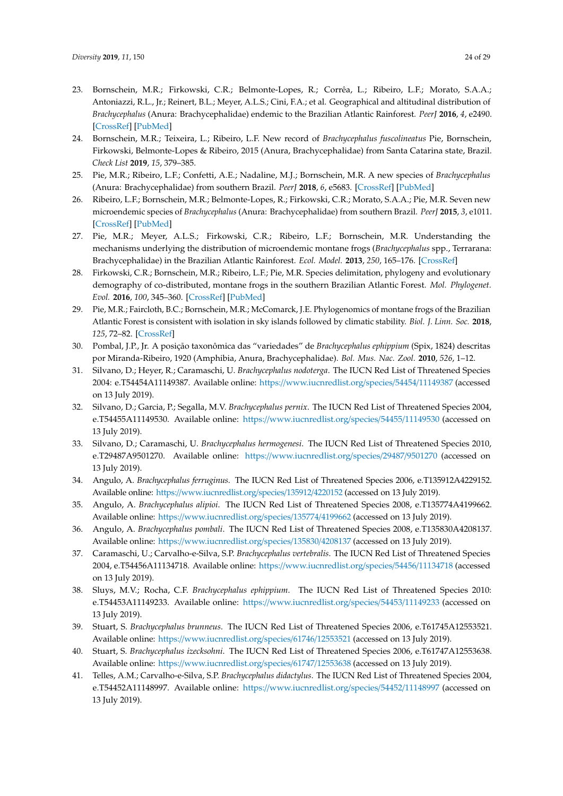- <span id="page-23-17"></span><span id="page-23-16"></span><span id="page-23-15"></span><span id="page-23-14"></span><span id="page-23-13"></span><span id="page-23-12"></span><span id="page-23-11"></span><span id="page-23-10"></span><span id="page-23-0"></span>23. Bornschein, M.R.; Firkowski, C.R.; Belmonte-Lopes, R.; Corrêa, L.; Ribeiro, L.F.; Morato, S.A.A.; Antoniazzi, R.L., Jr.; Reinert, B.L.; Meyer, A.L.S.; Cini, F.A.; et al. Geographical and altitudinal distribution of *Brachycephalus* (Anura: Brachycephalidae) endemic to the Brazilian Atlantic Rainforest. *PeerJ* **2016**, *4*, e2490. [\[CrossRef\]](http://dx.doi.org/10.7717/peerj.2490) [\[PubMed\]](http://www.ncbi.nlm.nih.gov/pubmed/27761312)
- <span id="page-23-22"></span><span id="page-23-1"></span>24. Bornschein, M.R.; Teixeira, L.; Ribeiro, L.F. New record of *Brachycephalus fuscolineatus* Pie, Bornschein, Firkowski, Belmonte-Lopes & Ribeiro, 2015 (Anura, Brachycephalidae) from Santa Catarina state, Brazil. *Check List* **2019**, *15*, 379–385.
- <span id="page-23-2"></span>25. Pie, M.R.; Ribeiro, L.F.; Confetti, A.E.; Nadaline, M.J.; Bornschein, M.R. A new species of *Brachycephalus* (Anura: Brachycephalidae) from southern Brazil. *PeerJ* **2018**, *6*, e5683. [\[CrossRef\]](http://dx.doi.org/10.7717/peerj.5683) [\[PubMed\]](http://www.ncbi.nlm.nih.gov/pubmed/30310742)
- <span id="page-23-19"></span><span id="page-23-3"></span>26. Ribeiro, L.F.; Bornschein, M.R.; Belmonte-Lopes, R.; Firkowski, C.R.; Morato, S.A.A.; Pie, M.R. Seven new microendemic species of *Brachycephalus* (Anura: Brachycephalidae) from southern Brazil. *PeerJ* **2015**, *3*, e1011. [\[CrossRef\]](http://dx.doi.org/10.7717/peerj.1011) [\[PubMed\]](http://www.ncbi.nlm.nih.gov/pubmed/26056613)
- <span id="page-23-25"></span><span id="page-23-4"></span>27. Pie, M.R.; Meyer, A.L.S.; Firkowski, C.R.; Ribeiro, L.F.; Bornschein, M.R. Understanding the mechanisms underlying the distribution of microendemic montane frogs (*Brachycephalus* spp., Terrarana: Brachycephalidae) in the Brazilian Atlantic Rainforest. *Ecol. Model.* **2013**, *250*, 165–176. [\[CrossRef\]](http://dx.doi.org/10.1016/j.ecolmodel.2012.10.019)
- <span id="page-23-27"></span><span id="page-23-20"></span><span id="page-23-5"></span>28. Firkowski, C.R.; Bornschein, M.R.; Ribeiro, L.F.; Pie, M.R. Species delimitation, phylogeny and evolutionary demography of co-distributed, montane frogs in the southern Brazilian Atlantic Forest. *Mol. Phylogenet. Evol.* **2016**, *100*, 345–360. [\[CrossRef\]](http://dx.doi.org/10.1016/j.ympev.2016.04.023) [\[PubMed\]](http://www.ncbi.nlm.nih.gov/pubmed/27129900)
- <span id="page-23-23"></span><span id="page-23-6"></span>29. Pie, M.R.; Faircloth, B.C.; Bornschein, M.R.; McComarck, J.E. Phylogenomics of montane frogs of the Brazilian Atlantic Forest is consistent with isolation in sky islands followed by climatic stability. *Biol. J. Linn. Soc.* **2018**, *125*, 72–82. [\[CrossRef\]](http://dx.doi.org/10.1093/biolinnean/bly093)
- <span id="page-23-21"></span><span id="page-23-7"></span>30. Pombal, J.P., Jr. A posição taxonômica das "variedades" de *Brachycephalus ephippium* (Spix, 1824) descritas por Miranda-Ribeiro, 1920 (Amphibia, Anura, Brachycephalidae). *Bol. Mus. Nac. Zool.* **2010**, *526*, 1–12.
- <span id="page-23-24"></span><span id="page-23-8"></span>31. Silvano, D.; Heyer, R.; Caramaschi, U. *Brachycephalus nodoterga*. The IUCN Red List of Threatened Species 2004: e.T54454A11149387. Available online: https://[www.iucnredlist.org](https://www.iucnredlist.org/species/54454/11149387)/species/54454/11149387 (accessed on 13 July 2019).
- <span id="page-23-26"></span>32. Silvano, D.; Garcia, P.; Segalla, M.V. *Brachycephalus pernix*. The IUCN Red List of Threatened Species 2004, e.T54455A11149530. Available online: https://[www.iucnredlist.org](https://www.iucnredlist.org/species/54455/11149530)/species/54455/11149530 (accessed on 13 July 2019).
- <span id="page-23-18"></span>33. Silvano, D.; Caramaschi, U. *Brachycephalus hermogenesi*. The IUCN Red List of Threatened Species 2010, e.T29487A9501270. Available online: https://[www.iucnredlist.org](https://www.iucnredlist.org/species/29487/9501270)/species/29487/9501270 (accessed on 13 July 2019).
- 34. Angulo, A. *Brachycephalus ferruginus*. The IUCN Red List of Threatened Species 2006, e.T135912A4229152. Available online: https://[www.iucnredlist.org](https://www.iucnredlist.org/species/135912/4220152)/species/135912/4220152 (accessed on 13 July 2019).
- 35. Angulo, A. *Brachycephalus alipioi*. The IUCN Red List of Threatened Species 2008, e.T135774A4199662. Available online: https://[www.iucnredlist.org](https://www.iucnredlist.org/species/135774/4199662)/species/135774/4199662 (accessed on 13 July 2019).
- 36. Angulo, A. *Brachycephalus pombali*. The IUCN Red List of Threatened Species 2008, e.T135830A4208137. Available online: https://[www.iucnredlist.org](https://www.iucnredlist.org/species/135830/4208137)/species/135830/4208137 (accessed on 13 July 2019).
- 37. Caramaschi, U.; Carvalho-e-Silva, S.P. *Brachycephalus vertebralis*. The IUCN Red List of Threatened Species 2004, e.T54456A11134718. Available online: https://[www.iucnredlist.org](https://www.iucnredlist.org/species/54456/11134718)/species/54456/11134718 (accessed on 13 July 2019).
- 38. Sluys, M.V.; Rocha, C.F. *Brachycephalus ephippium*. The IUCN Red List of Threatened Species 2010: e.T54453A11149233. Available online: https://[www.iucnredlist.org](https://www.iucnredlist.org/species/54453/11149233)/species/54453/11149233 (accessed on 13 July 2019).
- 39. Stuart, S. *Brachycephalus brunneus*. The IUCN Red List of Threatened Species 2006, e.T61745A12553521. Available online: https://[www.iucnredlist.org](https://www.iucnredlist.org/species/61746/12553521)/species/61746/12553521 (accessed on 13 July 2019).
- 40. Stuart, S. *Brachycephalus izecksohni*. The IUCN Red List of Threatened Species 2006, e.T61747A12553638. Available online: https://[www.iucnredlist.org](https://www.iucnredlist.org/species/61747/12553638)/species/61747/12553638 (accessed on 13 July 2019).
- <span id="page-23-9"></span>41. Telles, A.M.; Carvalho-e-Silva, S.P. *Brachycephalus didactylus*. The IUCN Red List of Threatened Species 2004, e.T54452A11148997. Available online: https://[www.iucnredlist.org](https://www.iucnredlist.org/species/54452/11148997)/species/54452/11148997 (accessed on 13 July 2019).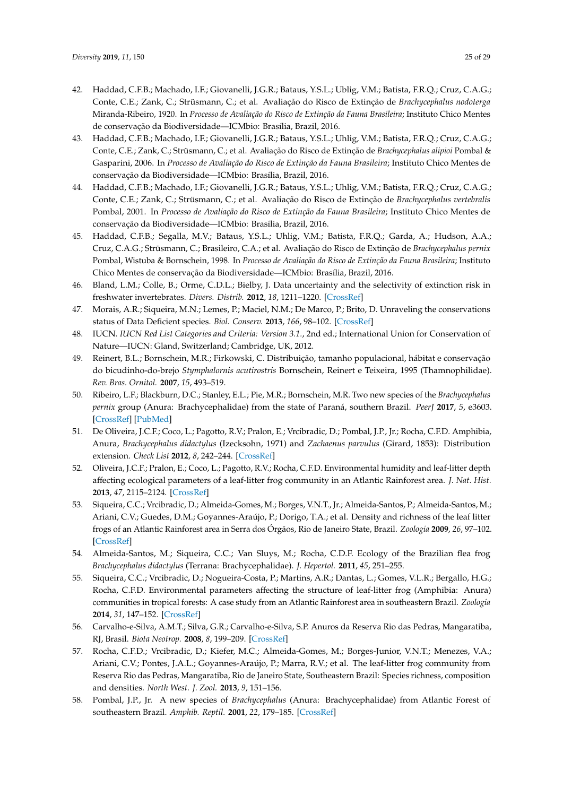- <span id="page-24-21"></span><span id="page-24-20"></span><span id="page-24-19"></span><span id="page-24-18"></span><span id="page-24-17"></span><span id="page-24-16"></span><span id="page-24-0"></span>42. Haddad, C.F.B.; Machado, I.F.; Giovanelli, J.G.R.; Bataus, Y.S.L.; Ublig, V.M.; Batista, F.R.Q.; Cruz, C.A.G.; Conte, C.E.; Zank, C.; Strüsmann, C.; et al. Avaliação do Risco de Extinção de *Brachycephalus nodoterga* Miranda-Ribeiro, 1920. In *Processo de Avaliação do Risco de Extinção da Fauna Brasileira*; Instituto Chico Mentes de conservação da Biodiversidade—ICMbio: Brasília, Brazil, 2016.
- <span id="page-24-15"></span>43. Haddad, C.F.B.; Machado, I.F.; Giovanelli, J.G.R.; Bataus, Y.S.L.; Uhlig, V.M.; Batista, F.R.Q.; Cruz, C.A.G.; Conte, C.E.; Zank, C.; Strüsmann, C.; et al. Avaliação do Risco de Extinção de *Brachycephalus alipioi* Pombal & Gasparini, 2006. In *Processo de Avaliação do Risco de Extinção da Fauna Brasileira*; Instituto Chico Mentes de conservação da Biodiversidade—ICMbio: Brasília, Brazil, 2016.
- <span id="page-24-7"></span>44. Haddad, C.F.B.; Machado, I.F.; Giovanelli, J.G.R.; Bataus, Y.S.L.; Uhlig, V.M.; Batista, F.R.Q.; Cruz, C.A.G.; Conte, C.E.; Zank, C.; Strüsmann, C.; et al. Avaliação do Risco de Extinção de *Brachycephalus vertebralis* Pombal, 2001. In *Processo de Avaliação do Risco de Extinção da Fauna Brasileira*; Instituto Chico Mentes de conservação da Biodiversidade—ICMbio: Brasília, Brazil, 2016.
- <span id="page-24-8"></span><span id="page-24-1"></span>45. Haddad, C.F.B.; Segalla, M.V.; Bataus, Y.S.L.; Uhlig, V.M.; Batista, F.R.Q.; Garda, A.; Hudson, A.A.; Cruz, C.A.G.; Strüsmann, C.; Brasileiro, C.A.; et al. Avaliação do Risco de Extinção de *Brachycephalus pernix* Pombal, Wistuba & Bornschein, 1998. In *Processo de Avaliação do Risco de Extinção da Fauna Brasileira*; Instituto Chico Mentes de conservação da Biodiversidade—ICMbio: Brasília, Brazil, 2016.
- <span id="page-24-9"></span><span id="page-24-2"></span>46. Bland, L.M.; Colle, B.; Orme, C.D.L.; Bielby, J. Data uncertainty and the selectivity of extinction risk in freshwater invertebrates. *Divers. Distrib.* **2012**, *18*, 1211–1220. [\[CrossRef\]](http://dx.doi.org/10.1111/j.1472-4642.2012.00914.x)
- <span id="page-24-10"></span><span id="page-24-3"></span>47. Morais, A.R.; Siqueira, M.N.; Lemes, P.; Maciel, N.M.; De Marco, P.; Brito, D. Unraveling the conservations status of Data Deficient species. *Biol. Conserv.* **2013**, *166*, 98–102. [\[CrossRef\]](http://dx.doi.org/10.1016/j.biocon.2013.06.010)
- <span id="page-24-11"></span><span id="page-24-4"></span>48. IUCN. *IUCN Red List Categories and Criteria: Version 3.1.*, 2nd ed.; International Union for Conservation of Nature—IUCN: Gland, Switzerland; Cambridge, UK, 2012.
- <span id="page-24-5"></span>49. Reinert, B.L.; Bornschein, M.R.; Firkowski, C. Distribuição, tamanho populacional, hábitat e conservação do bicudinho-do-brejo *Stymphalornis acutirostris* Bornschein, Reinert e Teixeira, 1995 (Thamnophilidae). *Rev. Bras. Ornitol.* **2007**, *15*, 493–519.
- <span id="page-24-12"></span><span id="page-24-6"></span>50. Ribeiro, L.F.; Blackburn, D.C.; Stanley, E.L.; Pie, M.R.; Bornschein, M.R. Two new species of the *Brachycephalus pernix* group (Anura: Brachycephalidae) from the state of Paraná, southern Brazil. *PeerJ* **2017**, *5*, e3603. [\[CrossRef\]](http://dx.doi.org/10.7717/peerj.3603) [\[PubMed\]](http://www.ncbi.nlm.nih.gov/pubmed/28761788)
- <span id="page-24-13"></span>51. De Oliveira, J.C.F.; Coco, L.; Pagotto, R.V.; Pralon, E.; Vrcibradic, D.; Pombal, J.P., Jr.; Rocha, C.F.D. Amphibia, Anura, *Brachycephalus didactylus* (Izecksohn, 1971) and *Zachaenus parvulus* (Girard, 1853): Distribution extension. *Check List* **2012**, *8*, 242–244. [\[CrossRef\]](http://dx.doi.org/10.15560/8.2.242)
- <span id="page-24-14"></span>52. Oliveira, J.C.F.; Pralon, E.; Coco, L.; Pagotto, R.V.; Rocha, C.F.D. Environmental humidity and leaf-litter depth affecting ecological parameters of a leaf-litter frog community in an Atlantic Rainforest area. *J. Nat. Hist.* **2013**, *47*, 2115–2124. [\[CrossRef\]](http://dx.doi.org/10.1080/00222933.2013.769641)
- 53. Siqueira, C.C.; Vrcibradic, D.; Almeida-Gomes, M.; Borges, V.N.T., Jr.; Almeida-Santos, P.; Almeida-Santos, M.; Ariani, C.V.; Guedes, D.M.; Goyannes-Araújo, P.; Dorigo, T.A.; et al. Density and richness of the leaf litter frogs of an Atlantic Rainforest area in Serra dos Órgãos, Rio de Janeiro State, Brazil. *Zoologia* **2009**, *26*, 97–102. [\[CrossRef\]](http://dx.doi.org/10.1590/S1984-46702009000100015)
- 54. Almeida-Santos, M.; Siqueira, C.C.; Van Sluys, M.; Rocha, C.D.F. Ecology of the Brazilian flea frog *Brachycephalus didactylus* (Terrana: Brachycephalidae). *J. Hepertol.* **2011**, *45*, 251–255.
- <span id="page-24-22"></span>55. Siqueira, C.C.; Vrcibradic, D.; Nogueira-Costa, P.; Martins, A.R.; Dantas, L.; Gomes, V.L.R.; Bergallo, H.G.; Rocha, C.F.D. Environmental parameters affecting the structure of leaf-litter frog (Amphibia: Anura) communities in tropical forests: A case study from an Atlantic Rainforest area in southeastern Brazil. *Zoologia* **2014**, *31*, 147–152. [\[CrossRef\]](http://dx.doi.org/10.1590/S1984-46702014000200005)
- 56. Carvalho-e-Silva, A.M.T.; Silva, G.R.; Carvalho-e-Silva, S.P. Anuros da Reserva Rio das Pedras, Mangaratiba, RJ, Brasil. *Biota Neotrop.* **2008**, *8*, 199–209. [\[CrossRef\]](http://dx.doi.org/10.1590/S1676-06032008000100021)
- 57. Rocha, C.F.D.; Vrcibradic, D.; Kiefer, M.C.; Almeida-Gomes, M.; Borges-Junior, V.N.T.; Menezes, V.A.; Ariani, C.V.; Pontes, J.A.L.; Goyannes-Araújo, P.; Marra, R.V.; et al. The leaf-litter frog community from Reserva Rio das Pedras, Mangaratiba, Rio de Janeiro State, Southeastern Brazil: Species richness, composition and densities. *North West. J. Zool.* **2013**, *9*, 151–156.
- 58. Pombal, J.P., Jr. A new species of *Brachycephalus* (Anura: Brachycephalidae) from Atlantic Forest of southeastern Brazil. *Amphib. Reptil.* **2001**, *22*, 179–185. [\[CrossRef\]](http://dx.doi.org/10.1163/15685380152030409)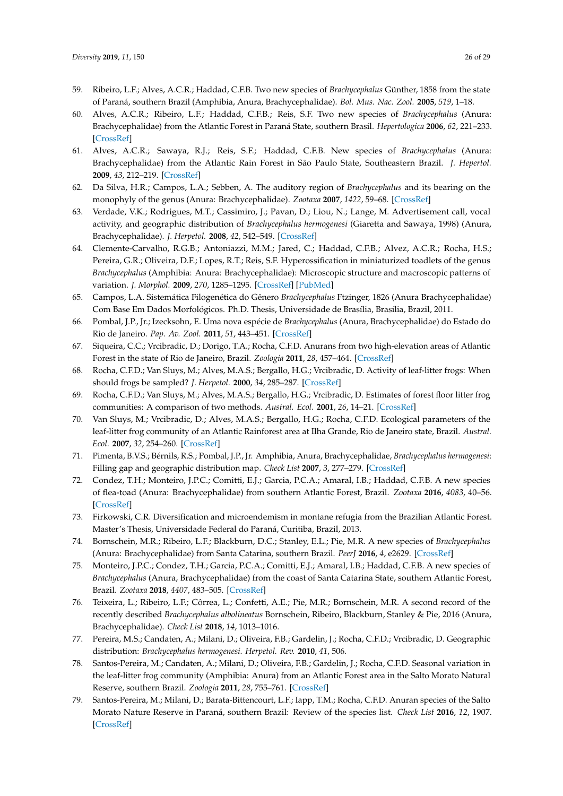- <span id="page-25-7"></span><span id="page-25-6"></span><span id="page-25-5"></span><span id="page-25-4"></span><span id="page-25-3"></span><span id="page-25-2"></span><span id="page-25-1"></span><span id="page-25-0"></span>59. Ribeiro, L.F.; Alves, A.C.R.; Haddad, C.F.B. Two new species of *Brachycephalus* Günther, 1858 from the state of Paraná, southern Brazil (Amphibia, Anura, Brachycephalidae). *Bol. Mus. Nac. Zool.* **2005**, *519*, 1–18.
- <span id="page-25-9"></span><span id="page-25-8"></span>60. Alves, A.C.R.; Ribeiro, L.F.; Haddad, C.F.B.; Reis, S.F. Two new species of *Brachycephalus* (Anura: Brachycephalidae) from the Atlantic Forest in Paraná State, southern Brasil. *Hepertologica* **2006**, *62*, 221–233. [\[CrossRef\]](http://dx.doi.org/10.1655/05-41.1)
- <span id="page-25-10"></span>61. Alves, A.C.R.; Sawaya, R.J.; Reis, S.F.; Haddad, C.F.B. New species of *Brachycephalus* (Anura: Brachycephalidae) from the Atlantic Rain Forest in São Paulo State, Southeastern Brazil. *J. Hepertol.* **2009**, *43*, 212–219. [\[CrossRef\]](http://dx.doi.org/10.1670/0022-1511-43.2.212)
- <span id="page-25-11"></span>62. Da Silva, H.R.; Campos, L.A.; Sebben, A. The auditory region of *Brachycephalus* and its bearing on the monophyly of the genus (Anura: Brachycephalidae). *Zootaxa* **2007**, *1422*, 59–68. [\[CrossRef\]](http://dx.doi.org/10.11646/zootaxa.1422.1.4)
- <span id="page-25-12"></span>63. Verdade, V.K.; Rodrigues, M.T.; Cassimiro, J.; Pavan, D.; Liou, N.; Lange, M. Advertisement call, vocal activity, and geographic distribution of *Brachycephalus hermogenesi* (Giaretta and Sawaya, 1998) (Anura, Brachycephalidae). *J. Herpetol.* **2008**, *42*, 542–549. [\[CrossRef\]](http://dx.doi.org/10.1670/07-287.1)
- <span id="page-25-13"></span>64. Clemente-Carvalho, R.G.B.; Antoniazzi, M.M.; Jared, C.; Haddad, C.F.B.; Alvez, A.C.R.; Rocha, H.S.; Pereira, G.R.; Oliveira, D.F.; Lopes, R.T.; Reis, S.F. Hyperossification in miniaturized toadlets of the genus *Brachycephalus* (Amphibia: Anura: Brachycephalidae): Microscopic structure and macroscopic patterns of variation. *J. Morphol.* **2009**, *270*, 1285–1295. [\[CrossRef\]](http://dx.doi.org/10.1002/jmor.10755) [\[PubMed\]](http://www.ncbi.nlm.nih.gov/pubmed/19551869)
- <span id="page-25-15"></span><span id="page-25-14"></span>65. Campos, L.A. Sistemática Filogenética do Gênero *Brachycephalus* Ftzinger, 1826 (Anura Brachycephalidae) Com Base Em Dados Morfológicos. Ph.D. Thesis, Universidade de Brasília, Brasília, Brazil, 2011.
- <span id="page-25-16"></span>66. Pombal, J.P., Jr.; Izecksohn, E. Uma nova espécie de *Brachycephalus* (Anura, Brachycephalidae) do Estado do Rio de Janeiro. *Pap. Av. Zool.* **2011**, *51*, 443–451. [\[CrossRef\]](http://dx.doi.org/10.1590/S0031-10492011002800001)
- 67. Siqueira, C.C.; Vrcibradic, D.; Dorigo, T.A.; Rocha, C.F.D. Anurans from two high-elevation areas of Atlantic Forest in the state of Rio de Janeiro, Brazil. *Zoologia* **2011**, *28*, 457–464. [\[CrossRef\]](http://dx.doi.org/10.1590/S1984-46702011000400007)
- <span id="page-25-17"></span>68. Rocha, C.F.D.; Van Sluys, M.; Alves, M.A.S.; Bergallo, H.G.; Vrcibradic, D. Activity of leaf-litter frogs: When should frogs be sampled? *J. Herpetol.* **2000**, *34*, 285–287. [\[CrossRef\]](http://dx.doi.org/10.2307/1565426)
- <span id="page-25-18"></span>69. Rocha, C.F.D.; Van Sluys, M.; Alves, M.A.S.; Bergallo, H.G.; Vrcibradic, D. Estimates of forest floor litter frog communities: A comparison of two methods. *Austral. Ecol.* **2001**, *26*, 14–21. [\[CrossRef\]](http://dx.doi.org/10.1046/j.1442-9993.2001.01073.x)
- <span id="page-25-19"></span>70. Van Sluys, M.; Vrcibradic, D.; Alves, M.A.S.; Bergallo, H.G.; Rocha, C.F.D. Ecological parameters of the leaf-litter frog community of an Atlantic Rainforest area at Ilha Grande, Rio de Janeiro state, Brazil. *Austral. Ecol.* **2007**, *32*, 254–260. [\[CrossRef\]](http://dx.doi.org/10.1111/j.1442-9993.2007.01682.x)
- <span id="page-25-20"></span>71. Pimenta, B.V.S.; Bérnils, R.S.; Pombal, J.P., Jr. Amphibia, Anura, Brachycephalidae, *Brachycephalus hermogenesi*: Filling gap and geographic distribution map. *Check List* **2007**, *3*, 277–279. [\[CrossRef\]](http://dx.doi.org/10.15560/3.3.277)
- 72. Condez, T.H.; Monteiro, J.P.C.; Comitti, E.J.; Garcia, P.C.A.; Amaral, I.B.; Haddad, C.F.B. A new species of flea-toad (Anura: Brachycephalidae) from southern Atlantic Forest, Brazil. *Zootaxa* **2016**, *4083*, 40–56. [\[CrossRef\]](http://dx.doi.org/10.11646/zootaxa.4083.1.2)
- 73. Firkowski, C.R. Diversification and microendemism in montane refugia from the Brazilian Atlantic Forest. Master's Thesis, Universidade Federal do Paraná, Curitiba, Brazil, 2013.
- 74. Bornschein, M.R.; Ribeiro, L.F.; Blackburn, D.C.; Stanley, E.L.; Pie, M.R. A new species of *Brachycephalus* (Anura: Brachycephalidae) from Santa Catarina, southern Brazil. *PeerJ* **2016**, *4*, e2629. [\[CrossRef\]](http://dx.doi.org/10.7717/peerj.2629)
- 75. Monteiro, J.P.C.; Condez, T.H.; Garcia, P.C.A.; Comitti, E.J.; Amaral, I.B.; Haddad, C.F.B. A new species of *Brachycephalus* (Anura, Brachycephalidae) from the coast of Santa Catarina State, southern Atlantic Forest, Brazil. *Zootaxa* **2018**, *4407*, 483–505. [\[CrossRef\]](http://dx.doi.org/10.11646/zootaxa.4407.4.2)
- <span id="page-25-21"></span>76. Teixeira, L.; Ribeiro, L.F.; Côrrea, L.; Confetti, A.E.; Pie, M.R.; Bornschein, M.R. A second record of the recently described *Brachycephalus albolineatus* Bornschein, Ribeiro, Blackburn, Stanley & Pie, 2016 (Anura, Brachycephalidae). *Check List* **2018**, *14*, 1013–1016.
- 77. Pereira, M.S.; Candaten, A.; Milani, D.; Oliveira, F.B.; Gardelin, J.; Rocha, C.F.D.; Vrcibradic, D. Geographic distribution: *Brachycephalus hermogenesi*. *Herpetol. Rev.* **2010**, *41*, 506.
- <span id="page-25-22"></span>78. Santos-Pereira, M.; Candaten, A.; Milani, D.; Oliveira, F.B.; Gardelin, J.; Rocha, C.F.D. Seasonal variation in the leaf-litter frog community (Amphibia: Anura) from an Atlantic Forest area in the Salto Morato Natural Reserve, southern Brazil. *Zoologia* **2011**, *28*, 755–761. [\[CrossRef\]](http://dx.doi.org/10.1590/S1984-46702011000600008)
- 79. Santos-Pereira, M.; Milani, D.; Barata-Bittencourt, L.F.; Iapp, T.M.; Rocha, C.F.D. Anuran species of the Salto Morato Nature Reserve in Paraná, southern Brazil: Review of the species list. *Check List* **2016**, *12*, 1907. [\[CrossRef\]](http://dx.doi.org/10.15560/12.3.1907)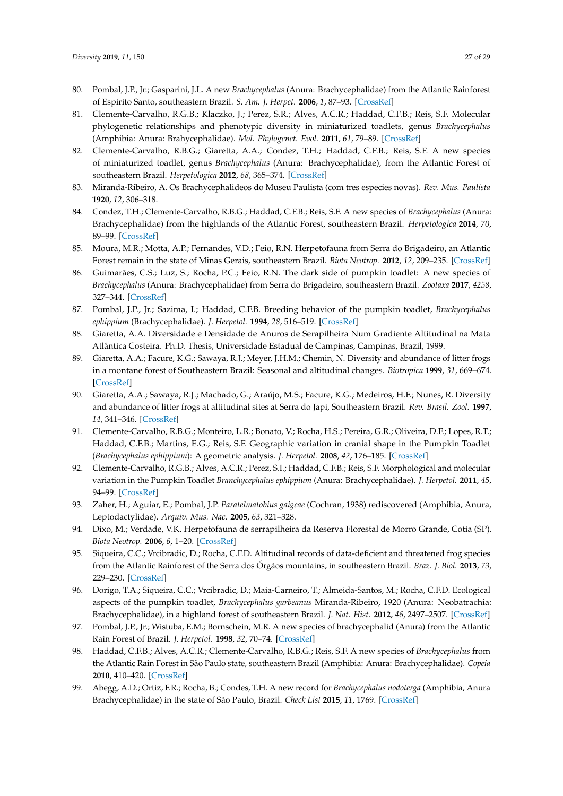- <span id="page-26-8"></span><span id="page-26-7"></span><span id="page-26-6"></span><span id="page-26-5"></span><span id="page-26-4"></span><span id="page-26-3"></span><span id="page-26-2"></span><span id="page-26-1"></span><span id="page-26-0"></span>80. Pombal, J.P., Jr.; Gasparini, J.L. A new *Brachycephalus* (Anura: Brachycephalidae) from the Atlantic Rainforest of Espírito Santo, southeastern Brazil. *S. Am. J. Herpet.* **2006**, *1*, 87–93. [\[CrossRef\]](http://dx.doi.org/10.2994/1808-9798(2006)1[87:ANBABF]2.0.CO;2)
- <span id="page-26-9"></span>81. Clemente-Carvalho, R.G.B.; Klaczko, J.; Perez, S.R.; Alves, A.C.R.; Haddad, C.F.B.; Reis, S.F. Molecular phylogenetic relationships and phenotypic diversity in miniaturized toadlets, genus *Brachycephalus* (Amphibia: Anura: Brahycephalidae). *Mol. Phylogenet. Evol.* **2011**, *61*, 79–89. [\[CrossRef\]](http://dx.doi.org/10.1016/j.ympev.2011.05.017)
- <span id="page-26-10"></span>82. Clemente-Carvalho, R.B.G.; Giaretta, A.A.; Condez, T.H.; Haddad, C.F.B.; Reis, S.F. A new species of miniaturized toadlet, genus *Brachycephalus* (Anura: Brachycephalidae), from the Atlantic Forest of southeastern Brazil. *Herpetologica* **2012**, *68*, 365–374. [\[CrossRef\]](http://dx.doi.org/10.1655/HERPETOLOGICA-D-11-00085.1)
- <span id="page-26-11"></span>83. Miranda-Ribeiro, A. Os Brachycephalideos do Museu Paulista (com tres especies novas). *Rev. Mus. Paulista* **1920**, *12*, 306–318.
- <span id="page-26-12"></span>84. Condez, T.H.; Clemente-Carvalho, R.B.G.; Haddad, C.F.B.; Reis, S.F. A new species of *Brachycephalus* (Anura: Brachycephalidae) from the highlands of the Atlantic Forest, southeastern Brazil. *Herpetologica* **2014**, *70*, 89–99. [\[CrossRef\]](http://dx.doi.org/10.1655/HERPETOLOGICA-D-13-00044)
- 85. Moura, M.R.; Motta, A.P.; Fernandes, V.D.; Feio, R.N. Herpetofauna from Serra do Brigadeiro, an Atlantic Forest remain in the state of Minas Gerais, southeastern Brazil. *Biota Neotrop.* **2012**, *12*, 209–235. [\[CrossRef\]](http://dx.doi.org/10.1590/S1676-06032012000100017)
- <span id="page-26-14"></span><span id="page-26-13"></span>86. Guimarães, C.S.; Luz, S.; Rocha, P.C.; Feio, R.N. The dark side of pumpkin toadlet: A new species of *Brachycephalus* (Anura: Brachycephalidae) from Serra do Brigadeiro, southeastern Brazil. *Zootaxa* **2017**, *4258*, 327–344. [\[CrossRef\]](http://dx.doi.org/10.11646/zootaxa.4258.4.2)
- <span id="page-26-15"></span>87. Pombal, J.P., Jr.; Sazima, I.; Haddad, C.F.B. Breeding behavior of the pumpkin toadlet, *Brachycephalus ephippium* (Brachycephalidae). *J. Herpetol.* **1994**, *28*, 516–519. [\[CrossRef\]](http://dx.doi.org/10.2307/1564972)
- 88. Giaretta, A.A. Diversidade e Densidade de Anuros de Serapilheira Num Gradiente Altitudinal na Mata Atlântica Costeira. Ph.D. Thesis, Universidade Estadual de Campinas, Campinas, Brazil, 1999.
- <span id="page-26-16"></span>89. Giaretta, A.A.; Facure, K.G.; Sawaya, R.J.; Meyer, J.H.M.; Chemin, N. Diversity and abundance of litter frogs in a montane forest of Southeastern Brazil: Seasonal and altitudinal changes. *Biotropica* **1999**, *31*, 669–674. [\[CrossRef\]](http://dx.doi.org/10.1111/j.1744-7429.1999.tb00416.x)
- <span id="page-26-21"></span><span id="page-26-18"></span><span id="page-26-17"></span>90. Giaretta, A.A.; Sawaya, R.J.; Machado, G.; Araújo, M.S.; Facure, K.G.; Medeiros, H.F.; Nunes, R. Diversity and abundance of litter frogs at altitudinal sites at Serra do Japi, Southeastern Brazil. *Rev. Brasil. Zool.* **1997**, *14*, 341–346. [\[CrossRef\]](http://dx.doi.org/10.1590/S0101-81751997000200008)
- <span id="page-26-19"></span>91. Clemente-Carvalho, R.B.G.; Monteiro, L.R.; Bonato, V.; Rocha, H.S.; Pereira, G.R.; Oliveira, D.F.; Lopes, R.T.; Haddad, C.F.B.; Martins, E.G.; Reis, S.F. Geographic variation in cranial shape in the Pumpkin Toadlet (*Brachycephalus ephippium*): A geometric analysis. *J. Herpetol.* **2008**, *42*, 176–185. [\[CrossRef\]](http://dx.doi.org/10.1670/07-141R1.1)
- 92. Clemente-Carvalho, R.G.B.; Alves, A.C.R.; Perez, S.I.; Haddad, C.F.B.; Reis, S.F. Morphological and molecular variation in the Pumpkin Toadlet *Branchycephalus ephippium* (Anura: Brachycephalidae). *J. Herpetol.* **2011**, *45*, 94–99. [\[CrossRef\]](http://dx.doi.org/10.1670/09-164.1)
- 93. Zaher, H.; Aguiar, E.; Pombal, J.P. *Paratelmatobius gaigeae* (Cochran, 1938) rediscovered (Amphibia, Anura, Leptodactylidae). *Arquiv. Mus. Nac.* **2005**, *63*, 321–328.
- 94. Dixo, M.; Verdade, V.K. Herpetofauna de serrapilheira da Reserva Florestal de Morro Grande, Cotia (SP). *Biota Neotrop.* **2006**, *6*, 1–20. [\[CrossRef\]](http://dx.doi.org/10.1590/S1676-06032006000200009)
- 95. Siqueira, C.C.; Vrcibradic, D.; Rocha, C.F.D. Altitudinal records of data-deficient and threatened frog species from the Atlantic Rainforest of the Serra dos Órgãos mountains, in southeastern Brazil. *Braz. J. Biol.* **2013**, *73*, 229–230. [\[CrossRef\]](http://dx.doi.org/10.1590/S1519-69842013000100027)
- 96. Dorigo, T.A.; Siqueira, C.C.; Vrcibradic, D.; Maia-Carneiro, T.; Almeida-Santos, M.; Rocha, C.F.D. Ecological aspects of the pumpkin toadlet, *Brachycephalus garbeanus* Miranda-Ribeiro, 1920 (Anura: Neobatrachia: Brachycephalidae), in a highland forest of southeastern Brazil. *J. Nat. Hist.* **2012**, *46*, 2497–2507. [\[CrossRef\]](http://dx.doi.org/10.1080/00222933.2012.713525)
- 97. Pombal, J.P., Jr.; Wistuba, E.M.; Bornschein, M.R. A new species of brachycephalid (Anura) from the Atlantic Rain Forest of Brazil. *J. Herpetol.* **1998**, *32*, 70–74. [\[CrossRef\]](http://dx.doi.org/10.2307/1565481)
- 98. Haddad, C.F.B.; Alves, A.C.R.; Clemente-Carvalho, R.B.G.; Reis, S.F. A new species of *Brachycephalus* from the Atlantic Rain Forest in São Paulo state, southeastern Brazil (Amphibia: Anura: Brachycephalidae). *Copeia* **2010**, 410–420. [\[CrossRef\]](http://dx.doi.org/10.1643/CH-09-102)
- <span id="page-26-20"></span>99. Abegg, A.D.; Ortiz, F.R.; Rocha, B.; Condes, T.H. A new record for *Brachycephalus nodoterga* (Amphibia, Anura Brachycephalidae) in the state of São Paulo, Brazil. *Check List* **2015**, *11*, 1769. [\[CrossRef\]](http://dx.doi.org/10.15560/11.5.1769)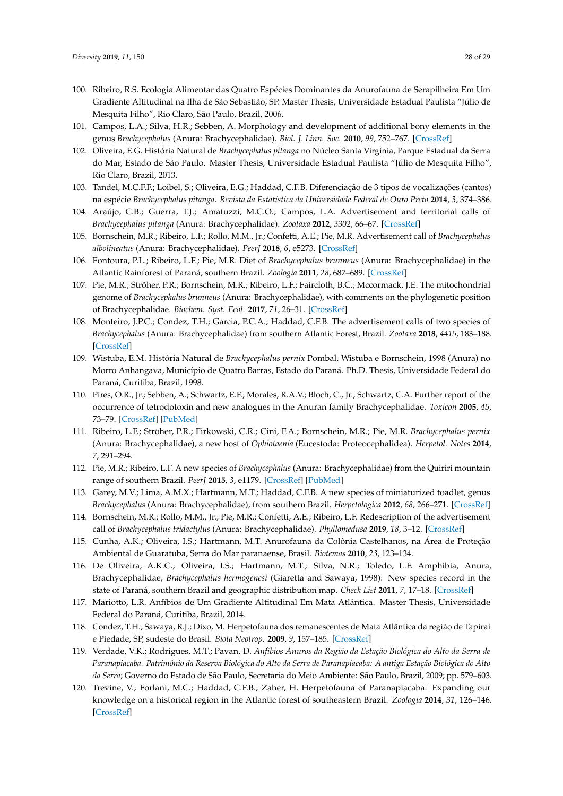- <span id="page-27-8"></span><span id="page-27-7"></span><span id="page-27-6"></span><span id="page-27-5"></span><span id="page-27-4"></span><span id="page-27-3"></span><span id="page-27-2"></span><span id="page-27-1"></span><span id="page-27-0"></span>100. Ribeiro, R.S. Ecologia Alimentar das Quatro Espécies Dominantes da Anurofauna de Serapilheira Em Um Gradiente Altitudinal na Ilha de São Sebastião, SP. Master Thesis, Universidade Estadual Paulista "Júlio de Mesquita Filho", Rio Claro, São Paulo, Brazil, 2006.
- <span id="page-27-9"></span>101. Campos, L.A.; Silva, H.R.; Sebben, A. Morphology and development of additional bony elements in the genus *Brachycephalus* (Anura: Brachycephalidae). *Biol. J. Linn. Soc.* **2010**, *99*, 752–767. [\[CrossRef\]](http://dx.doi.org/10.1111/j.1095-8312.2010.01375.x)
- <span id="page-27-10"></span>102. Oliveira, E.G. História Natural de *Brachycephalus pitanga* no Núcleo Santa Virgínia, Parque Estadual da Serra do Mar, Estado de São Paulo. Master Thesis, Universidade Estadual Paulista "Júlio de Mesquita Filho", Rio Claro, Brazil, 2013.
- <span id="page-27-11"></span>103. Tandel, M.C.F.F.; Loibel, S.; Oliveira, E.G.; Haddad, C.F.B. Diferenciação de 3 tipos de vocalizações (cantos) na espécie *Brachycephalus pitanga*. *Revista da Estatística da Universidade Federal de Ouro Preto* **2014**, *3*, 374–386.
- 104. Araújo, C.B.; Guerra, T.J.; Amatuzzi, M.C.O.; Campos, L.A. Advertisement and territorial calls of *Brachycephalus pitanga* (Anura: Brachycephalidae). *Zootaxa* **2012**, *3302*, 66–67. [\[CrossRef\]](http://dx.doi.org/10.11646/zootaxa.3302.1.5)
- <span id="page-27-12"></span>105. Bornschein, M.R.; Ribeiro, L.F.; Rollo, M.M., Jr.; Confetti, A.E.; Pie, M.R. Advertisement call of *Brachycephalus albolineatus* (Anura: Brachycephalidae). *PeerJ* **2018**, *6*, e5273. [\[CrossRef\]](http://dx.doi.org/10.7717/peerj.5273)
- <span id="page-27-13"></span>106. Fontoura, P.L.; Ribeiro, L.F.; Pie, M.R. Diet of *Brachycephalus brunneus* (Anura: Brachycephalidae) in the Atlantic Rainforest of Paraná, southern Brazil. *Zoologia* **2011**, *28*, 687–689. [\[CrossRef\]](http://dx.doi.org/10.1590/S1984-46702011000500019)
- <span id="page-27-15"></span><span id="page-27-14"></span>107. Pie, M.R.; Ströher, P.R.; Bornschein, M.R.; Ribeiro, L.F.; Faircloth, B.C.; Mccormack, J.E. The mitochondrial genome of *Brachycephalus brunneus* (Anura: Brachycephalidae), with comments on the phylogenetic position of Brachycephalidae. *Biochem. Syst. Ecol.* **2017**, *71*, 26–31. [\[CrossRef\]](http://dx.doi.org/10.1016/j.bse.2016.12.009)
- <span id="page-27-16"></span>108. Monteiro, J.P.C.; Condez, T.H.; Garcia, P.C.A.; Haddad, C.F.B. The advertisement calls of two species of *Brachycephalus* (Anura: Brachycephalidae) from southern Atlantic Forest, Brazil. *Zootaxa* **2018**, *4415*, 183–188. [\[CrossRef\]](http://dx.doi.org/10.11646/zootaxa.4415.1.10)
- <span id="page-27-17"></span>109. Wistuba, E.M. História Natural de *Brachycephalus pernix* Pombal, Wistuba e Bornschein, 1998 (Anura) no Morro Anhangava, Município de Quatro Barras, Estado do Paraná. Ph.D. Thesis, Universidade Federal do Paraná, Curitiba, Brazil, 1998.
- <span id="page-27-19"></span><span id="page-27-18"></span>110. Pires, O.R., Jr.; Sebben, A.; Schwartz, E.F.; Morales, R.A.V.; Bloch, C., Jr.; Schwartz, C.A. Further report of the occurrence of tetrodotoxin and new analogues in the Anuran family Brachycephalidae. *Toxicon* **2005**, *45*, 73–79. [\[CrossRef\]](http://dx.doi.org/10.1016/j.toxicon.2004.09.016) [\[PubMed\]](http://www.ncbi.nlm.nih.gov/pubmed/15581685)
- <span id="page-27-20"></span>111. Ribeiro, L.F.; Ströher, P.R.; Firkowski, C.R.; Cini, F.A.; Bornschein, M.R.; Pie, M.R. *Brachycephalus pernix* (Anura: Brachycephalidae), a new host of *Ophiotaenia* (Eucestoda: Proteocephalidea). *Herpetol. Notes* **2014**, *7*, 291–294.
- 112. Pie, M.R.; Ribeiro, L.F. A new species of *Brachycephalus* (Anura: Brachycephalidae) from the Quiriri mountain range of southern Brazil. *PeerJ* **2015**, *3*, e1179. [\[CrossRef\]](http://dx.doi.org/10.7717/peerj.1179) [\[PubMed\]](http://www.ncbi.nlm.nih.gov/pubmed/26339556)
- 113. Garey, M.V.; Lima, A.M.X.; Hartmann, M.T.; Haddad, C.F.B. A new species of miniaturized toadlet, genus *Brachycephalus* (Anura: Brachycephalidae), from southern Brazil. *Herpetologica* **2012**, *68*, 266–271. [\[CrossRef\]](http://dx.doi.org/10.1655/HERPETOLOGICA-D-11-00074.1)
- 114. Bornschein, M.R.; Rollo, M.M., Jr.; Pie, M.R.; Confetti, A.E.; Ribeiro, L.F. Redescription of the advertisement call of *Brachycephalus tridactylus* (Anura: Brachycephalidae). *Phyllomedusa* **2019**, *18*, 3–12. [\[CrossRef\]](http://dx.doi.org/10.11606/issn.2316-9079.v18i1p3-12)
- 115. Cunha, A.K.; Oliveira, I.S.; Hartmann, M.T. Anurofauna da Colônia Castelhanos, na Área de Proteção Ambiental de Guaratuba, Serra do Mar paranaense, Brasil. *Biotemas* **2010**, *23*, 123–134.
- 116. De Oliveira, A.K.C.; Oliveira, I.S.; Hartmann, M.T.; Silva, N.R.; Toledo, L.F. Amphibia, Anura, Brachycephalidae, *Brachycephalus hermogenesi* (Giaretta and Sawaya, 1998): New species record in the state of Paraná, southern Brazil and geographic distribution map. *Check List* **2011**, *7*, 17–18. [\[CrossRef\]](http://dx.doi.org/10.15560/7.1.17)
- 117. Mariotto, L.R. Anfíbios de Um Gradiente Altitudinal Em Mata Atlântica. Master Thesis, Universidade Federal do Paraná, Curitiba, Brazil, 2014.
- 118. Condez, T.H.; Sawaya, R.J.; Dixo, M. Herpetofauna dos remanescentes de Mata Atlântica da região de Tapiraí e Piedade, SP, sudeste do Brasil. *Biota Neotrop.* **2009**, *9*, 157–185. [\[CrossRef\]](http://dx.doi.org/10.1590/S1676-06032009000100018)
- 119. Verdade, V.K.; Rodrigues, M.T.; Pavan, D. *Anfíbios Anuros da Região da Estação Biológica do Alto da Serra de Paranapiacaba. Patrimônio da Reserva Biológica do Alto da Serra de Paranapiacaba: A antiga Estação Biológica do Alto da Serra*; Governo do Estado de São Paulo, Secretaria do Meio Ambiente: São Paulo, Brazil, 2009; pp. 579–603.
- 120. Trevine, V.; Forlani, M.C.; Haddad, C.F.B.; Zaher, H. Herpetofauna of Paranapiacaba: Expanding our knowledge on a historical region in the Atlantic forest of southeastern Brazil. *Zoologia* **2014**, *31*, 126–146. [\[CrossRef\]](http://dx.doi.org/10.1590/S1984-46702014000200004)